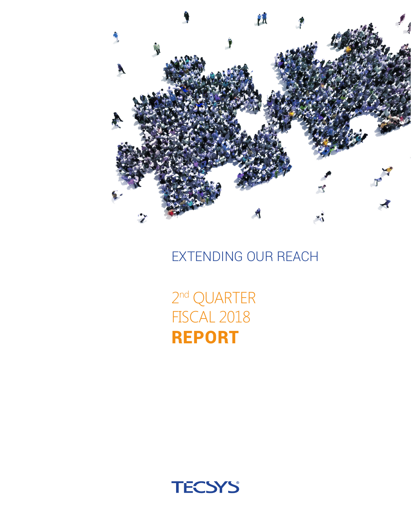

EXTENDING OUR REACH

2nd QUARTER FISCAL 2018 REPORT

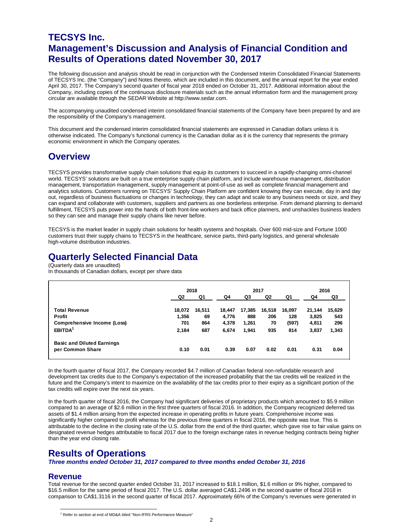### **TECSYS Inc. Management's Discussion and Analysis of Financial Condition and Results of Operations dated November 30, 2017**

The following discussion and analysis should be read in conjunction with the Condensed Interim Consolidated Financial Statements of TECSYS Inc. (the "Company") and Notes thereto, which are included in this document, and the annual report for the year ended April 30, 2017. The Company's second quarter of fiscal year 2018 ended on October 31, 2017. Additional information about the Company, including copies of the continuous disclosure materials such as the annual information form and the management proxy circular are available through the SEDAR Website at http://www.sedar.com.

The accompanying unaudited condensed interim consolidated financial statements of the Company have been prepared by and are the responsibility of the Company's management.

This document and the condensed interim consolidated financial statements are expressed in Canadian dollars unless it is otherwise indicated. The Company's functional currency is the Canadian dollar as it is the currency that represents the primary economic environment in which the Company operates.

### **Overview**

TECSYS provides transformative supply chain solutions that equip its customers to succeed in a rapidly-changing omni-channel world. TECSYS' solutions are built on a true enterprise supply chain platform, and include warehouse management, distribution management, transportation management, supply management at point-of-use as well as complete financial management and analytics solutions. Customers running on TECSYS' Supply Chain Platform are confident knowing they can execute, day in and day out, regardless of business fluctuations or changes in technology, they can adapt and scale to any business needs or size, and they can expand and collaborate with customers, suppliers and partners as one borderless enterprise. From demand planning to demand fulfillment, TECSYS puts power into the hands of both front-line workers and back office planners, and unshackles business leaders so they can see and manage their supply chains like never before.

TECSYS is the market leader in supply chain solutions for health systems and hospitals. Over 600 mid-size and Fortune 1000 customers trust their supply chains to TECSYS in the healthcare, service parts, third-party logistics, and general wholesale high-volume distribution industries.

### **Quarterly Selected Financial Data**

(Quarterly data are unaudited)

In thousands of Canadian dollars, except per share data

|                                   | 2018   |        | 2017   |        |        |        | 2016   |        |
|-----------------------------------|--------|--------|--------|--------|--------|--------|--------|--------|
|                                   | Q2     | Q1     | Q4     | Q3     | Q2     | Q1     | Q4     | Q3     |
| <b>Total Revenue</b>              | 18,072 | 16,511 | 18,447 | 17,385 | 16,518 | 16,097 | 21,144 | 15,629 |
| Profit                            | 1.356  | 69     | 4.776  | 888    | 206    | 128    | 3.825  | 543    |
| Comprehensive Income (Loss)       | 701    | 864    | 4,378  | 1.261  | 70     | (597)  | 4,811  | 296    |
| EBITDA <sup>1</sup>               | 2,184  | 687    | 6,674  | 1,941  | 935    | 814    | 3,837  | 1,343  |
| <b>Basic and Diluted Earnings</b> |        |        |        |        |        |        |        |        |
| per Common Share                  | 0.10   | 0.01   | 0.39   | 0.07   | 0.02   | 0.01   | 0.31   | 0.04   |

In the fourth quarter of fiscal 2017, the Company recorded \$4.7 million of Canadian federal non-refundable research and development tax credits due to the Company's expectation of the increased probability that the tax credits will be realized in the future and the Company's intent to maximize on the availability of the tax credits prior to their expiry as a significant portion of the tax credits will expire over the next six years.

In the fourth quarter of fiscal 2016, the Company had significant deliveries of proprietary products which amounted to \$5.9 million compared to an average of \$2.6 million in the first three quarters of fiscal 2016. In addition, the Company recognized deferred tax assets of \$1.4 million arising from the expected increase in operating profits in future years. Comprehensive income was significantly higher compared to profit whereas for the previous three quarters in fiscal 2016, the opposite was true. This is attributable to the decline in the closing rate of the U.S. dollar from the end of the third quarter, which gave rise to fair value gains on designated revenue hedges attributable to fiscal 2017 due to the foreign exchange rates in revenue hedging contracts being higher than the year end closing rate.

### **Results of Operations**

*Three months ended October 31, 2017 compared to three months ended October 31, 2016*

### **Revenue**

<span id="page-1-0"></span>Total revenue for the second quarter ended October 31, 2017 increased to \$18.1 million, \$1.6 million or 9% higher, compared to \$16.5 million for the same period of fiscal 2017. The U.S. dollar averaged CA\$1.2496 in the second quarter of fiscal 2018 in comparison to CA\$1.3116 in the second quarter of fiscal 2017. Approximately 66% of the Company's revenues were generated in

<sup>&</sup>lt;sup>1</sup> Refer to section at end of MD&A titled "Non-IFRS Performance Measure"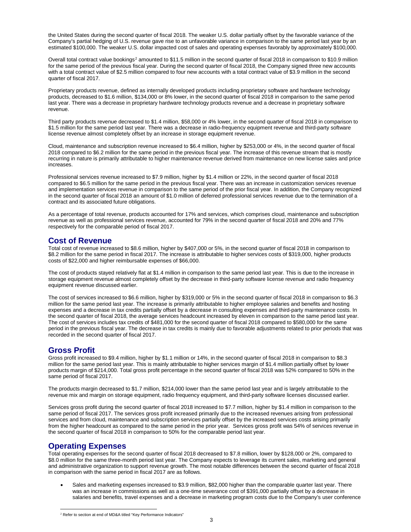the United States during the second quarter of fiscal 2018. The weaker U.S. dollar partially offset by the favorable variance of the Company's partial hedging of U.S. revenue gave rise to an unfavorable variance in comparison to the same period last year by an estimated \$100,000. The weaker U.S. dollar impacted cost of sales and operating expenses favorably by approximately \$100,000.

Overall total contract value bookings<sup>[2](#page-2-0)</sup> amounted to \$11.5 million in the second quarter of fiscal 2018 in comparison to \$10.9 million for the same period of the previous fiscal year. During the second quarter of fiscal 2018, the Company signed three new accounts with a total contract value of \$2.5 million compared to four new accounts with a total contract value of \$3.9 million in the second quarter of fiscal 2017.

Proprietary products revenue, defined as internally developed products including proprietary software and hardware technology products, decreased to \$1.6 million, \$134,000 or 8% lower, in the second quarter of fiscal 2018 in comparison to the same period last year. There was a decrease in proprietary hardware technology products revenue and a decrease in proprietary software revenue.

Third party products revenue decreased to \$1.4 million, \$58,000 or 4% lower, in the second quarter of fiscal 2018 in comparison to \$1.5 million for the same period last year. There was a decrease in radio-frequency equipment revenue and third-party software license revenue almost completely offset by an increase in storage equipment revenue.

Cloud, maintenance and subscription revenue increased to \$6.4 million, higher by \$253,000 or 4%, in the second quarter of fiscal 2018 compared to \$6.2 million for the same period in the previous fiscal year. The increase of this revenue stream that is mostly recurring in nature is primarily attributable to higher maintenance revenue derived from maintenance on new license sales and price increases.

Professional services revenue increased to \$7.9 million, higher by \$1.4 million or 22%, in the second quarter of fiscal 2018 compared to \$6.5 million for the same period in the previous fiscal year. There was an increase in customization services revenue and implementation services revenue in comparison to the same period of the prior fiscal year. In addition, the Company recognized in the second quarter of fiscal 2018 an amount of \$1.0 million of deferred professional services revenue due to the termination of a contract and its associated future obligations.

As a percentage of total revenue, products accounted for 17% and services, which comprises cloud, maintenance and subscription revenue as well as professional services revenue, accounted for 79% in the second quarter of fiscal 2018 and 20% and 77% respectively for the comparable period of fiscal 2017.

### **Cost of Revenue**

Total cost of revenue increased to \$8.6 million, higher by \$407,000 or 5%, in the second quarter of fiscal 2018 in comparison to \$8.2 million for the same period in fiscal 2017. The increase is attributable to higher services costs of \$319,000, higher products costs of \$22,000 and higher reimbursable expenses of \$66,000.

The cost of products stayed relatively flat at \$1.4 million in comparison to the same period last year. This is due to the increase in storage equipment revenue almost completely offset by the decrease in third-party software license revenue and radio frequency equipment revenue discussed earlier.

The cost of services increased to \$6.6 million, higher by \$319,000 or 5% in the second quarter of fiscal 2018 in comparison to \$6.3 million for the same period last year. The increase is primarily attributable to higher employee salaries and benefits and hosting expenses and a decrease in tax credits partially offset by a decrease in consulting expenses and third-party maintenance costs. In the second quarter of fiscal 2018, the average services headcount increased by eleven in comparison to the same period last year. The cost of services includes tax credits of \$481,000 for the second quarter of fiscal 2018 compared to \$580,000 for the same period in the previous fiscal year. The decrease in tax credits is mainly due to favorable adjustments related to prior periods that was recorded in the second quarter of fiscal 2017.

### **Gross Profit**

Gross profit increased to \$9.4 million, higher by \$1.1 million or 14%, in the second quarter of fiscal 2018 in comparison to \$8.3 million for the same period last year. This is mainly attributable to higher services margin of \$1.4 million partially offset by lower products margin of \$214,000. Total gross profit percentage in the second quarter of fiscal 2018 was 52% compared to 50% in the same period of fiscal 2017.

The products margin decreased to \$1.7 million, \$214,000 lower than the same period last year and is largely attributable to the revenue mix and margin on storage equipment, radio frequency equipment, and third-party software licenses discussed earlier.

Services gross profit during the second quarter of fiscal 2018 increased to \$7.7 million, higher by \$1.4 million in comparison to the same period of fiscal 2017. The services gross profit increased primarily due to the increased revenues arising from professional services and from cloud, maintenance and subscription services partially offset by the increased services costs arising primarily from the higher headcount as compared to the same period in the prior year. Services gross profit was 54% of services revenue in the second quarter of fiscal 2018 in comparison to 50% for the comparable period last year.

### **Operating Expenses**

Total operating expenses for the second quarter of fiscal 2018 decreased to \$7.8 million, lower by \$128,000 or 2%, compared to \$8.0 million for the same three-month period last year. The Company expects to leverage its current sales, marketing and general and administrative organization to support revenue growth. The most notable differences between the second quarter of fiscal 2018 in comparison with the same period in fiscal 2017 are as follows.

• Sales and marketing expenses increased to \$3.9 million, \$82,000 higher than the comparable quarter last year. There was an increase in commissions as well as a one-time severance cost of \$391,000 partially offset by a decrease in salaries and benefits, travel expenses and a decrease in marketing program costs due to the Company's user conference

<span id="page-2-0"></span><sup>&</sup>lt;sup>2</sup> Refer to section at end of MD&A titled "Key Performance Indicators"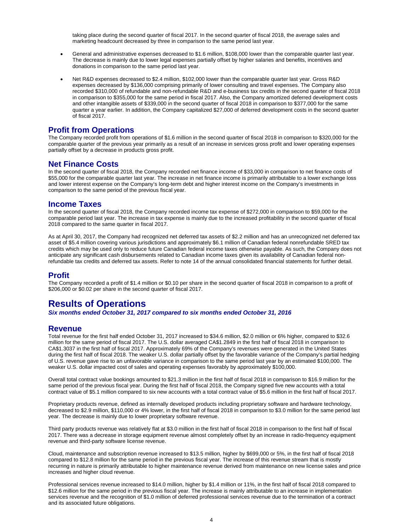taking place during the second quarter of fiscal 2017. In the second quarter of fiscal 2018, the average sales and marketing headcount decreased by three in comparison to the same period last year.

- General and administrative expenses decreased to \$1.6 million, \$108,000 lower than the comparable quarter last year. The decrease is mainly due to lower legal expenses partially offset by higher salaries and benefits, incentives and donations in comparison to the same period last year.
- Net R&D expenses decreased to \$2.4 million, \$102,000 lower than the comparable quarter last year. Gross R&D expenses decreased by \$136,000 comprising primarily of lower consulting and travel expenses. The Company also recorded \$310,000 of refundable and non-refundable R&D and e-business tax credits in the second quarter of fiscal 2018 in comparison to \$355,000 for the same period in fiscal 2017. Also, the Company amortized deferred development costs and other intangible assets of \$339,000 in the second quarter of fiscal 2018 in comparison to \$377,000 for the same quarter a year earlier. In addition, the Company capitalized \$27,000 of deferred development costs in the second quarter of fiscal 2017.

### **Profit from Operations**

The Company recorded profit from operations of \$1.6 million in the second quarter of fiscal 2018 in comparison to \$320,000 for the comparable quarter of the previous year primarily as a result of an increase in services gross profit and lower operating expenses partially offset by a decrease in products gross profit.

### **Net Finance Costs**

In the second quarter of fiscal 2018, the Company recorded net finance income of \$33,000 in comparison to net finance costs of \$55,000 for the comparable quarter last year. The increase in net finance income is primarily attributable to a lower exchange loss and lower interest expense on the Company's long-term debt and higher interest income on the Company's investments in comparison to the same period of the previous fiscal year.

### **Income Taxes**

In the second quarter of fiscal 2018, the Company recorded income tax expense of \$272,000 in comparison to \$59,000 for the comparable period last year. The increase in tax expense is mainly due to the increased profitability in the second quarter of fiscal 2018 compared to the same quarter in fiscal 2017.

As at April 30, 2017, the Company had recognized net deferred tax assets of \$2.2 million and has an unrecognized net deferred tax asset of \$5.4 million covering various jurisdictions and approximately \$6.1 million of Canadian federal nonrefundable SRED tax credits which may be used only to reduce future Canadian federal income taxes otherwise payable. As such, the Company does not anticipate any significant cash disbursements related to Canadian income taxes given its availability of Canadian federal nonrefundable tax credits and deferred tax assets. Refer to note 14 of the annual consolidated financial statements for further detail.

### **Profit**

The Company recorded a profit of \$1.4 million or \$0.10 per share in the second quarter of fiscal 2018 in comparison to a profit of \$206,000 or \$0.02 per share in the second quarter of fiscal 2017.

### **Results of Operations**

*Six months ended October 31, 2017 compared to six months ended October 31, 2016*

### **Revenue**

Total revenue for the first half ended October 31, 2017 increased to \$34.6 million, \$2.0 million or 6% higher, compared to \$32.6 million for the same period of fiscal 2017. The U.S. dollar averaged CA\$1.2849 in the first half of fiscal 2018 in comparison to CA\$1.3037 in the first half of fiscal 2017. Approximately 69% of the Company's revenues were generated in the United States during the first half of fiscal 2018. The weaker U.S. dollar partially offset by the favorable variance of the Company's partial hedging of U.S. revenue gave rise to an unfavorable variance in comparison to the same period last year by an estimated \$100,000. The weaker U.S. dollar impacted cost of sales and operating expenses favorably by approximately \$100,000.

Overall total contract value bookings amounted to \$21.3 million in the first half of fiscal 2018 in comparison to \$16.9 million for the same period of the previous fiscal year. During the first half of fiscal 2018, the Company signed five new accounts with a total contract value of \$5.1 million compared to six new accounts with a total contract value of \$5.6 million in the first half of fiscal 2017.

Proprietary products revenue, defined as internally developed products including proprietary software and hardware technology, decreased to \$2.9 million, \$110,000 or 4% lower, in the first half of fiscal 2018 in comparison to \$3.0 million for the same period last year. The decrease is mainly due to lower proprietary software revenue.

Third party products revenue was relatively flat at \$3.0 million in the first half of fiscal 2018 in comparison to the first half of fiscal 2017. There was a decrease in storage equipment revenue almost completely offset by an increase in radio-frequency equipment revenue and third-party software license revenue.

Cloud, maintenance and subscription revenue increased to \$13.5 million, higher by \$699,000 or 5%, in the first half of fiscal 2018 compared to \$12.8 million for the same period in the previous fiscal year. The increase of this revenue stream that is mostly recurring in nature is primarily attributable to higher maintenance revenue derived from maintenance on new license sales and price increases and higher cloud revenue.

Professional services revenue increased to \$14.0 million, higher by \$1.4 million or 11%, in the first half of fiscal 2018 compared to \$12.6 million for the same period in the previous fiscal year. The increase is mainly attributable to an increase in implementation services revenue and the recognition of \$1.0 million of deferred professional services revenue due to the termination of a contract and its associated future obligations.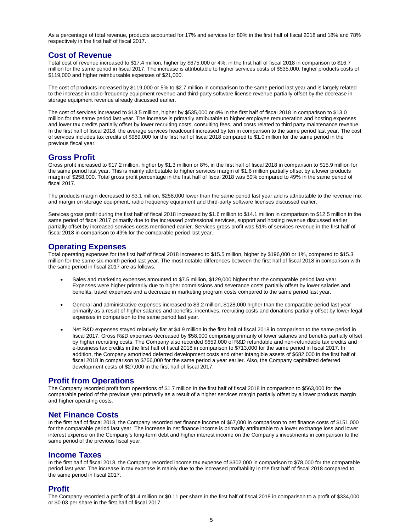As a percentage of total revenue, products accounted for 17% and services for 80% in the first half of fiscal 2018 and 18% and 78% respectively in the first half of fiscal 2017.

### **Cost of Revenue**

Total cost of revenue increased to \$17.4 million, higher by \$675,000 or 4%, in the first half of fiscal 2018 in comparison to \$16.7 million for the same period in fiscal 2017. The increase is attributable to higher services costs of \$535,000, higher products costs of \$119,000 and higher reimbursable expenses of \$21,000.

The cost of products increased by \$119,000 or 5% to \$2.7 million in comparison to the same period last year and is largely related to the increase in radio-frequency equipment revenue and third-party software license revenue partially offset by the decrease in storage equipment revenue already discussed earlier.

The cost of services increased to \$13.5 million, higher by \$535,000 or 4% in the first half of fiscal 2018 in comparison to \$13.0 million for the same period last year. The increase is primarily attributable to higher employee remuneration and hosting expenses and lower tax credits partially offset by lower recruiting costs, consulting fees, and costs related to third party maintenance revenue. In the first half of fiscal 2018, the average services headcount increased by ten in comparison to the same period last year. The cost of services includes tax credits of \$989,000 for the first half of fiscal 2018 compared to \$1.0 million for the same period in the previous fiscal year.

### **Gross Profit**

Gross profit increased to \$17.2 million, higher by \$1.3 million or 8%, in the first half of fiscal 2018 in comparison to \$15.9 million for the same period last year. This is mainly attributable to higher services margin of \$1.6 million partially offset by a lower products margin of \$258,000. Total gross profit percentage in the first half of fiscal 2018 was 50% compared to 49% in the same period of fiscal 2017.

The products margin decreased to \$3.1 million, \$258,000 lower than the same period last year and is attributable to the revenue mix and margin on storage equipment, radio frequency equipment and third-party software licenses discussed earlier.

Services gross profit during the first half of fiscal 2018 increased by \$1.6 million to \$14.1 million in comparison to \$12.5 million in the same period of fiscal 2017 primarily due to the increased professional services, support and hosting revenue discussed earlier partially offset by increased services costs mentioned earlier. Services gross profit was 51% of services revenue in the first half of fiscal 2018 in comparison to 49% for the comparable period last year.

### **Operating Expenses**

Total operating expenses for the first half of fiscal 2018 increased to \$15.5 million, higher by \$196,000 or 1%, compared to \$15.3 million for the same six-month period last year. The most notable differences between the first half of fiscal 2018 in comparison with the same period in fiscal 2017 are as follows.

- Sales and marketing expenses amounted to \$7.5 million, \$129,000 higher than the comparable period last year. Expenses were higher primarily due to higher commissions and severance costs partially offset by lower salaries and benefits, travel expenses and a decrease in marketing program costs compared to the same period last year.
- General and administrative expenses increased to \$3.2 million, \$128,000 higher than the comparable period last year primarily as a result of higher salaries and benefits, incentives, recruiting costs and donations partially offset by lower legal expenses in comparison to the same period last year.
- Net R&D expenses stayed relatively flat at \$4.9 million in the first half of fiscal 2018 in comparison to the same period in fiscal 2017. Gross R&D expenses decreased by \$58,000 comprising primarily of lower salaries and benefits partially offset by higher recruiting costs. The Company also recorded \$659,000 of R&D refundable and non-refundable tax credits and e-business tax credits in the first half of fiscal 2018 in comparison to \$713,000 for the same period in fiscal 2017. In addition, the Company amortized deferred development costs and other intangible assets of \$682,000 in the first half of fiscal 2018 in comparison to \$766,000 for the same period a year earlier. Also, the Company capitalized deferred development costs of \$27,000 in the first half of fiscal 2017.

### **Profit from Operations**

The Company recorded profit from operations of \$1.7 million in the first half of fiscal 2018 in comparison to \$563,000 for the comparable period of the previous year primarily as a result of a higher services margin partially offset by a lower products margin and higher operating costs.

### **Net Finance Costs**

In the first half of fiscal 2018, the Company recorded net finance income of \$67,000 in comparison to net finance costs of \$151,000 for the comparable period last year. The increase in net finance income is primarily attributable to a lower exchange loss and lower interest expense on the Company's long-term debt and higher interest income on the Company's investments in comparison to the same period of the previous fiscal year.

#### **Income Taxes**

In the first half of fiscal 2018, the Company recorded income tax expense of \$302,000 in comparison to \$78,000 for the comparable period last year. The increase in tax expense is mainly due to the increased profitability in the first half of fiscal 2018 compared to the same period in fiscal 2017.

#### **Profit**

The Company recorded a profit of \$1.4 million or \$0.11 per share in the first half of fiscal 2018 in comparison to a profit of \$334,000 or \$0.03 per share in the first half of fiscal 2017.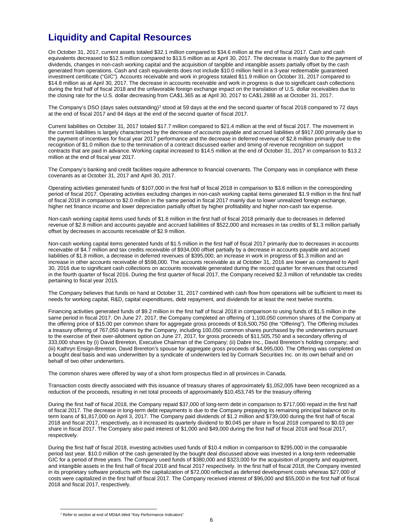## **Liquidity and Capital Resources**

On October 31, 2017, current assets totaled \$32.1 million compared to \$34.6 million at the end of fiscal 2017. Cash and cash equivalents decreased to \$12.5 million compared to \$13.5 million as at April 30, 2017. The decrease is mainly due to the payment of dividends, changes in non-cash working capital and the acquisition of tangible and intangible assets partially offset by the cash generated from operations. Cash and cash equivalents does not include \$10.0 million held in a 3-year redeemable guaranteed investment certificate ("GIC"). Accounts receivable and work in progress totaled \$11.9 million on October 31, 2017 compared to \$14.8 million as at April 30, 2017. The decrease in accounts receivable and work in progress is due to significant cash collections during the first half of fiscal 2018 and the unfavorable foreign exchange impact on the translation of U.S. dollar receivables due to the closing rate for the U.S. dollar decreasing from CA\$1.365 as at April 30, 2017 to CA\$1.2888 as at October 31, 2017.

The Company's DSO (days sales outstanding)<sup>[3](#page-5-0)</sup> stood at 59 days at the end the second quarter of fiscal 2018 compared to 72 days at the end of fiscal 2017 and 84 days at the end of the second quarter of fiscal 2017.

Current liabilities on October 31, 2017 totaled \$17.7 million compared to \$21.4 million at the end of fiscal 2017. The movement in the current liabilities is largely characterized by the decrease of accounts payable and accrued liabilities of \$917,000 primarily due to the payment of incentives for fiscal year 2017 performance and the decrease in deferred revenue of \$2.8 million primarily due to the recognition of \$1.0 million due to the termination of a contract discussed earlier and timing of revenue recognition on support contracts that are paid in advance. Working capital increased to \$14.5 million at the end of October 31, 2017 in comparison to \$13.2 million at the end of fiscal year 2017.

The Company's banking and credit facilities require adherence to financial covenants. The Company was in compliance with these covenants as at October 31, 2017 and April 30, 2017.

Operating activities generated funds of \$107,000 in the first half of fiscal 2018 in comparison to \$3.6 million in the corresponding period of fiscal 2017. Operating activities excluding changes in non-cash working capital items generated \$1.9 million in the first half of fiscal 2018 in comparison to \$2.0 million in the same period in fiscal 2017 mainly due to lower unrealized foreign exchange, higher net finance income and lower depreciation partially offset by higher profitability and higher non-cash tax expense.

Non-cash working capital items used funds of \$1.8 million in the first half of fiscal 2018 primarily due to decreases in deferred revenue of \$2.8 million and accounts payable and accrued liabilities of \$522,000 and increases in tax credits of \$1.3 million partially offset by decreases in accounts receivable of \$2.9 million.

Non-cash working capital items generated funds of \$1.5 million in the first half of fiscal 2017 primarily due to decreases in accounts receivable of \$4.7 million and tax credits receivable of \$934,000 offset partially by a decrease in accounts payable and accrued liabilities of \$1.8 million, a decrease in deferred revenues of \$395,000, an increase in work in progress of \$1.3 million and an increase in other accounts receivable of \$598,000. The accounts receivable as at October 31, 2016 are lower as compared to April 30, 2016 due to significant cash collections on accounts receivable generated during the record quarter for revenues that occurred in the fourth quarter of fiscal 2016. During the first quarter of fiscal 2017, the Company received \$2.3 million of refundable tax credits pertaining to fiscal year 2015.

The Company believes that funds on hand at October 31, 2017 combined with cash flow from operations will be sufficient to meet its needs for working capital, R&D, capital expenditures, debt repayment, and dividends for at least the next twelve months.

Financing activities generated funds of \$9.2 million in the first half of fiscal 2018 in comparison to using funds of \$1.5 million in the same period in fiscal 2017. On June 27, 2017, the Company completed an offering of 1,100,050 common shares of the Company at the offering price of \$15.00 per common share for aggregate gross proceeds of \$16,500,750 (the "Offering"). The Offering includes a treasury offering of 767,050 shares by the Company, including 100,050 common shares purchased by the underwriters pursuant to the exercise of their over-allotment option on June 27, 2017, for gross proceeds of \$11,505,750 and a secondary offering of 333,000 shares by (i) David Brereton, Executive Chairman of the Company; (ii) Dabre Inc., David Brereton's holding company; and (iii) Kathryn Ensign-Brereton, David Brereton's spouse for aggregate gross proceeds of \$4,995,000. The Offering was completed on a bought deal basis and was underwritten by a syndicate of underwriters led by Cormark Securities Inc. on its own behalf and on behalf of two other underwriters.

The common shares were offered by way of a short form prospectus filed in all provinces in Canada.

Transaction costs directly associated with this issuance of treasury shares of approximately \$1,052,005 have been recognized as a reduction of the proceeds, resulting in net total proceeds of approximately \$10,453,745 for the treasury offering

During the first half of fiscal 2018, the Company repaid \$37,000 of long-term debt in comparison to \$717,000 repaid in the first half of fiscal 2017. The decrease in long-term debt repayments is due to the Company prepaying its remaining principal balance on its term loans of \$1,817,000 on April 3, 2017. The Company paid dividends of \$1.2 million and \$739,000 during the first half of fiscal 2018 and fiscal 2017, respectively, as it increased its quarterly dividend to \$0.045 per share in fiscal 2018 compared to \$0.03 per share in fiscal 2017. The Company also paid interest of \$1,000 and \$49,000 during the first half of fiscal 2018 and fiscal 2017, respectively.

During the first half of fiscal 2018, investing activities used funds of \$10.4 million in comparison to \$295,000 in the comparable period last year. \$10.0 million of the cash generated by the bought deal discussed above was invested in a long-term redeemable GIC for a period of three years. The Company used funds of \$380,000 and \$323,000 for the acquisition of property and equipment, and intangible assets in the first half of fiscal 2018 and fiscal 2017 respectively. In the first half of fiscal 2018, the Company invested in its proprietary software products with the capitalization of \$72,000 reflected as deferred development costs whereas \$27,000 of costs were capitalized in the first half of fiscal 2017. The Company received interest of \$96,000 and \$55,000 in the first half of fiscal 2018 and fiscal 2017, respectively.

<span id="page-5-0"></span><sup>&</sup>lt;sup>3</sup> Refer to section at end of MD&A titled "Key Performance Indicators"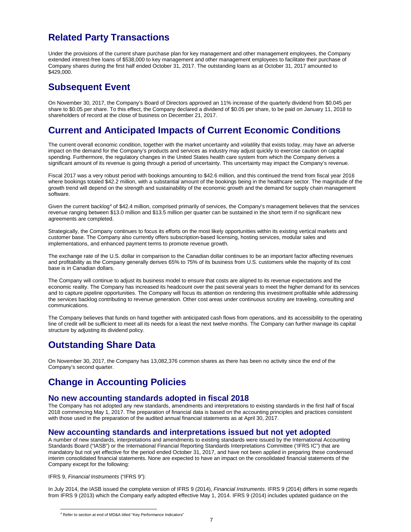## **Related Party Transactions**

Under the provisions of the current share purchase plan for key management and other management employees, the Company extended interest-free loans of \$538,000 to key management and other management employees to facilitate their purchase of Company shares during the first half ended October 31, 2017. The outstanding loans as at October 31, 2017 amounted to \$429,000.

### **Subsequent Event**

On November 30, 2017, the Company's Board of Directors approved an 11% increase of the quarterly dividend from \$0.045 per share to \$0.05 per share. To this effect, the Company declared a dividend of \$0.05 per share, to be paid on January 11, 2018 to shareholders of record at the close of business on December 21, 2017.

## **Current and Anticipated Impacts of Current Economic Conditions**

The current overall economic condition, together with the market uncertainty and volatility that exists today, may have an adverse impact on the demand for the Company's products and services as industry may adjust quickly to exercise caution on capital spending. Furthermore, the regulatory changes in the United States health care system from which the Company derives a significant amount of its revenue is going through a period of uncertainty. This uncertainty may impact the Company's revenue.

Fiscal 2017 was a very robust period with bookings amounting to \$42.6 million, and this continued the trend from fiscal year 2016 where bookings totaled \$42.2 million, with a substantial amount of the bookings being in the healthcare sector. The magnitude of the growth trend will depend on the strength and sustainability of the economic growth and the demand for supply chain management software.

Given the current backlog<sup>[4](#page-6-0)</sup> of \$42.4 million, comprised primarily of services, the Company's management believes that the services revenue ranging between \$13.0 million and \$13.5 million per quarter can be sustained in the short term if no significant new agreements are completed.

Strategically, the Company continues to focus its efforts on the most likely opportunities within its existing vertical markets and customer base. The Company also currently offers subscription-based licensing, hosting services, modular sales and implementations, and enhanced payment terms to promote revenue growth.

The exchange rate of the U.S. dollar in comparison to the Canadian dollar continues to be an important factor affecting revenues and profitability as the Company generally derives 65% to 75% of its business from U.S. customers while the majority of its cost base is in Canadian dollars.

The Company will continue to adjust its business model to ensure that costs are aligned to its revenue expectations and the economic reality. The Company has increased its headcount over the past several years to meet the higher demand for its services and to capture pipeline opportunities. The Company will focus its attention on rendering this investment profitable while addressing the services backlog contributing to revenue generation. Other cost areas under continuous scrutiny are traveling, consulting and communications.

The Company believes that funds on hand together with anticipated cash flows from operations, and its accessibility to the operating line of credit will be sufficient to meet all its needs for a least the next twelve months. The Company can further manage its capital structure by adjusting its dividend policy.

## **Outstanding Share Data**

On November 30, 2017, the Company has 13,082,376 common shares as there has been no activity since the end of the Company's second quarter.

## **Change in Accounting Policies**

### **No new accounting standards adopted in fiscal 2018**

The Company has not adopted any new standards, amendments and interpretations to existing standards in the first half of fiscal 2018 commencing May 1, 2017. The preparation of financial data is based on the accounting principles and practices consistent with those used in the preparation of the audited annual financial statements as at April 30, 2017.

### **New accounting standards and interpretations issued but not yet adopted**

A number of new standards, interpretations and amendments to existing standards were issued by the International Accounting Standards Board ("IASB") or the International Financial Reporting Standards Interpretations Committee ('IFRS IC") that are mandatory but not yet effective for the period ended October 31, 2017, and have not been applied in preparing these condensed interim consolidated financial statements. None are expected to have an impact on the consolidated financial statements of the Company except for the following:

IFRS 9, *Financial Instruments* ("IFRS 9"):

<span id="page-6-0"></span>In July 2014, the IASB issued the complete version of IFRS 9 (2014), *Financial Instruments*. IFRS 9 (2014) differs in some regards from IFRS 9 (2013) which the Company early adopted effective May 1, 2014. IFRS 9 (2014) includes updated guidance on the

<sup>4</sup> Refer to section at end of MD&A titled "Key Performance Indicators"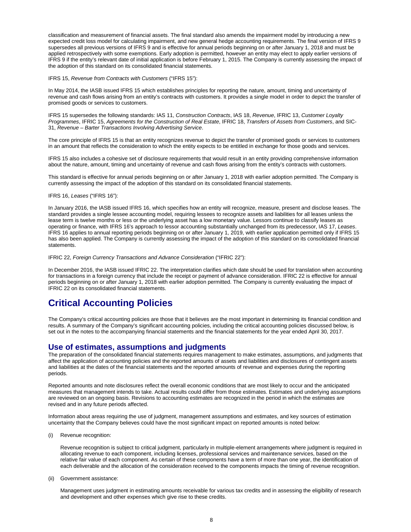classification and measurement of financial assets. The final standard also amends the impairment model by introducing a new expected credit loss model for calculating impairment, and new general hedge accounting requirements. The final version of IFRS 9 supersedes all previous versions of IFRS 9 and is effective for annual periods beginning on or after January 1, 2018 and must be applied retrospectively with some exemptions. Early adoption is permitted, however an entity may elect to apply earlier versions of IFRS 9 if the entity's relevant date of initial application is before February 1, 2015. The Company is currently assessing the impact of the adoption of this standard on its consolidated financial statements.

IFRS 15, *Revenue from Contracts with Customers* ("IFRS 15"):

In May 2014, the IASB issued IFRS 15 which establishes principles for reporting the nature, amount, timing and uncertainty of revenue and cash flows arising from an entity's contracts with customers. It provides a single model in order to depict the transfer of promised goods or services to customers.

IFRS 15 supersedes the following standards: IAS 11, *Construction Contracts*, IAS 18, *Revenue*, IFRIC 13, *Customer Loyalty Programmes*, IFRIC 15, *Agreements for the Construction of Real Estate*, IFRIC 18, *Transfers of Assets from Customers*, and SIC-31, *Revenue – Barter Transactions Involving Advertising Service*.

The core principle of IFRS 15 is that an entity recognizes revenue to depict the transfer of promised goods or services to customers in an amount that reflects the consideration to which the entity expects to be entitled in exchange for those goods and services.

IFRS 15 also includes a cohesive set of disclosure requirements that would result in an entity providing comprehensive information about the nature, amount, timing and uncertainty of revenue and cash flows arising from the entity's contracts with customers.

This standard is effective for annual periods beginning on or after January 1, 2018 with earlier adoption permitted. The Company is currently assessing the impact of the adoption of this standard on its consolidated financial statements.

IFRS 16, *Leases* ("IFRS 16"):

In January 2016, the IASB issued IFRS 16, which specifies how an entity will recognize, measure, present and disclose leases. The standard provides a single lessee accounting model, requiring lessees to recognize assets and liabilities for all leases unless the lease term is twelve months or less or the underlying asset has a low monetary value. Lessors continue to classify leases as operating or finance, with IFRS 16's approach to lessor accounting substantially unchanged from its predecessor, IAS 17, *Leases*. IFRS 16 applies to annual reporting periods beginning on or after January 1, 2019, with earlier application permitted only if IFRS 15 has also been applied. The Company is currently assessing the impact of the adoption of this standard on its consolidated financial statements.

IFRIC 22, *Foreign Currency Transactions and Advance Consideration* ("IFRIC 22"):

In December 2016, the IASB issued IFRIC 22. The interpretation clarifies which date should be used for translation when accounting for transactions in a foreign currency that include the receipt or payment of advance consideration. IFRIC 22 is effective for annual periods beginning on or after January 1, 2018 with earlier adoption permitted. The Company is currently evaluating the impact of IFRIC 22 on its consolidated financial statements.

### **Critical Accounting Policies**

The Company's critical accounting policies are those that it believes are the most important in determining its financial condition and results. A summary of the Company's significant accounting policies, including the critical accounting policies discussed below, is set out in the notes to the accompanying financial statements and the financial statements for the year ended April 30, 2017.

#### **Use of estimates, assumptions and judgments**

The preparation of the consolidated financial statements requires management to make estimates, assumptions, and judgments that affect the application of accounting policies and the reported amounts of assets and liabilities and disclosures of contingent assets and liabilities at the dates of the financial statements and the reported amounts of revenue and expenses during the reporting periods.

Reported amounts and note disclosures reflect the overall economic conditions that are most likely to occur and the anticipated measures that management intends to take. Actual results could differ from those estimates. Estimates and underlying assumptions are reviewed on an ongoing basis. Revisions to accounting estimates are recognized in the period in which the estimates are revised and in any future periods affected.

Information about areas requiring the use of judgment, management assumptions and estimates, and key sources of estimation uncertainty that the Company believes could have the most significant impact on reported amounts is noted below:

(i) Revenue recognition:

Revenue recognition is subject to critical judgment, particularly in multiple-element arrangements where judgment is required in allocating revenue to each component, including licenses, professional services and maintenance services, based on the relative fair value of each component. As certain of these components have a term of more than one year, the identification of each deliverable and the allocation of the consideration received to the components impacts the timing of revenue recognition.

(ii) Government assistance:

Management uses judgment in estimating amounts receivable for various tax credits and in assessing the eligibility of research and development and other expenses which give rise to these credits.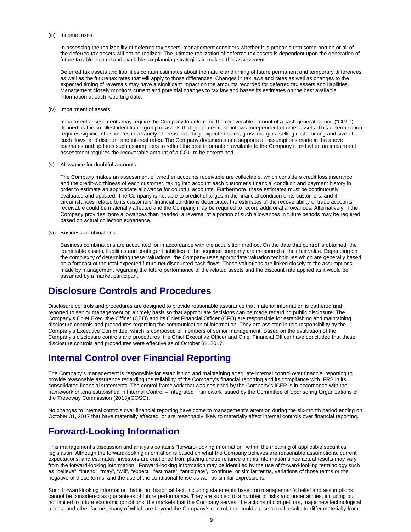#### (iii) Income taxes:

In assessing the realizability of deferred tax assets, management considers whether it is probable that some portion or all of the deferred tax assets will not be realized. The ultimate realization of deferred tax assets is dependent upon the generation of future taxable income and available tax planning strategies in making this assessment.

Deferred tax assets and liabilities contain estimates about the nature and timing of future permanent and temporary differences as well as the future tax rates that will apply to those differences. Changes in tax laws and rates as well as changes to the expected timing of reversals may have a significant impact on the amounts recorded for deferred tax assets and liabilities. Management closely monitors current and potential changes to tax law and bases its estimates on the best available information at each reporting date.

(iv) Impairment of assets:

Impairment assessments may require the Company to determine the recoverable amount of a cash generating unit ("CGU"), defined as the smallest identifiable group of assets that generates cash inflows independent of other assets. This determination requires significant estimates in a variety of areas including: expected sales, gross margins, selling costs, timing and size of cash flows, and discount and interest rates. The Company documents and supports all assumptions made in the above estimates and updates such assumptions to reflect the best information available to the Company if and when an impairment assessment requires the recoverable amount of a CGU to be determined.

(v) Allowance for doubtful accounts:

The Company makes an assessment of whether accounts receivable are collectable, which considers credit loss insurance and the credit-worthiness of each customer, taking into account each customer's financial condition and payment history in order to estimate an appropriate allowance for doubtful accounts. Furthermore, these estimates must be continuously evaluated and updated. The Company is not able to predict changes in the financial condition of its customers, and if circumstances related to its customers' financial conditions deteriorate, the estimates of the recoverability of trade accounts receivable could be materially affected and the Company may be required to record additional allowances. Alternatively, if the Company provides more allowances than needed, a reversal of a portion of such allowances in future periods may be required based on actual collection experience.

(vi) Business combinations:

Business combinations are accounted for in accordance with the acquisition method. On the date that control is obtained, the identifiable assets, liabilities and contingent liabilities of the acquired company are measured at their fair value. Depending on the complexity of determining these valuations, the Company uses appropriate valuation techniques which are generally based on a forecast of the total expected future net discounted cash flows. These valuations are linked closely to the assumptions made by management regarding the future performance of the related assets and the discount rate applied as it would be assumed by a market participant.

## **Disclosure Controls and Procedures**

Disclosure controls and procedures are designed to provide reasonable assurance that material information is gathered and reported to senior management on a timely basis so that appropriate decisions can be made regarding public disclosure. The Company's Chief Executive Officer (CEO) and its Chief Financial Officer (CFO) are responsible for establishing and maintaining disclosure controls and procedures regarding the communication of information. They are assisted in this responsibility by the Company's Executive Committee, which is composed of members of senior management. Based on the evaluation of the Company's disclosure controls and procedures, the Chief Executive Officer and Chief Financial Officer have concluded that these disclosure controls and procedures were effective as of October 31, 2017.

## **Internal Control over Financial Reporting**

The Company's management is responsible for establishing and maintaining adequate internal control over financial reporting to provide reasonable assurance regarding the reliability of the Company's financial reporting and its compliance with IFRS in its consolidated financial statements. The control framework that was designed by the Company's ICFR is in accordance with the framework criteria established in Internal Control – Integrated Framework issued by the Committee of Sponsoring Organizations of the Treadway Commission (2013)(COSO).

No changes to internal controls over financial reporting have come to management's attention during the six-month period ending on October 31, 2017 that have materially affected, or are reasonably likely to materially affect internal controls over financial reporting.

## **Forward-Looking Information**

This management's discussion and analysis contains "forward-looking information" within the meaning of applicable securities legislation. Although the forward-looking information is based on what the Company believes are reasonable assumptions, current expectations, and estimates, investors are cautioned from placing undue reliance on this information since actual results may vary from the forward-looking information. Forward-looking information may be identified by the use of forward-looking terminology such as "believe", "intend", "may", "will", "expect", "estimate", "anticipate", "continue" or similar terms, variations of those terms or the negative of those terms, and the use of the conditional tense as well as similar expressions.

Such forward-looking information that is not historical fact, including statements based on management's belief and assumptions cannot be considered as guarantees of future performance. They are subject to a number of risks and uncertainties, including but not limited to future economic conditions, the markets that the Company serves, the actions of competitors, major new technological trends, and other factors, many of which are beyond the Company's control, that could cause actual results to differ materially from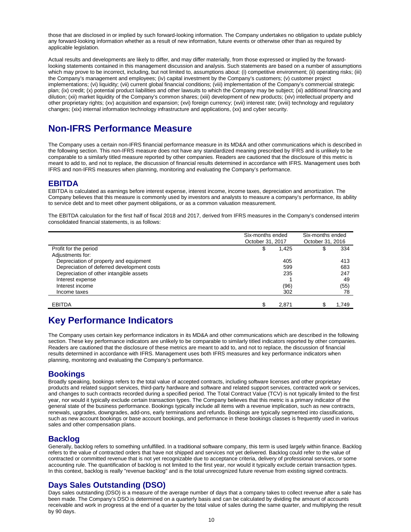those that are disclosed in or implied by such forward-looking information. The Company undertakes no obligation to update publicly any forward-looking information whether as a result of new information, future events or otherwise other than as required by applicable legislation.

Actual results and developments are likely to differ, and may differ materially, from those expressed or implied by the forwardlooking statements contained in this management discussion and analysis. Such statements are based on a number of assumptions which may prove to be incorrect, including, but not limited to, assumptions about: (i) competitive environment; (ii) operating risks; (iii) the Company's management and employees; (iv) capital investment by the Company's customers; (v) customer project implementations; (vi) liquidity; (vii) current global financial conditions; (viii) implementation of the Company's commercial strategic plan; (ix) credit; (x) potential product liabilities and other lawsuits to which the Company may be subject; (xi) additional financing and dilution; (xii) market liquidity of the Company's common shares; (xiii) development of new products; (xiv) intellectual property and other proprietary rights; (xv) acquisition and expansion; (xvi) foreign currency; (xvii) interest rate; (xviii) technology and regulatory changes; (xix) internal information technology infrastructure and applications, (xx) and cyber security.

## **Non-IFRS Performance Measure**

The Company uses a certain non-IFRS financial performance measure in its MD&A and other communications which is described in the following section. This non-IFRS measure does not have any standardized meaning prescribed by IFRS and is unlikely to be comparable to a similarly titled measure reported by other companies. Readers are cautioned that the disclosure of this metric is meant to add to, and not to replace, the discussion of financial results determined in accordance with IFRS. Management uses both IFRS and non-IFRS measures when planning, monitoring and evaluating the Company's performance.

### **EBITDA**

EBITDA is calculated as earnings before interest expense, interest income, income taxes, depreciation and amortization. The Company believes that this measure is commonly used by investors and analysts to measure a company's performance, its ability to service debt and to meet other payment obligations, or as a common valuation measurement.

The EBITDA calculation for the first half of fiscal 2018 and 2017, derived from IFRS measures in the Company's condensed interim consolidated financial statements, is as follows:

|                                            | Six-months ended<br>October 31, 2017 | Six-months ended<br>October 31, 2016 |  |       |
|--------------------------------------------|--------------------------------------|--------------------------------------|--|-------|
| Profit for the period                      | \$                                   | 1,425                                |  | 334   |
| Adjustments for:                           |                                      |                                      |  |       |
| Depreciation of property and equipment     |                                      | 405                                  |  | 413   |
| Depreciation of deferred development costs |                                      | 599                                  |  | 683   |
| Depreciation of other intangible assets    |                                      | 235                                  |  | 247   |
| Interest expense                           |                                      |                                      |  | 49    |
| Interest income                            |                                      | (96)                                 |  | (55)  |
| Income taxes                               |                                      | 302                                  |  | 78    |
|                                            |                                      |                                      |  |       |
| <b>EBITDA</b>                              |                                      | 2.871                                |  | 1.749 |

## **Key Performance Indicators**

The Company uses certain key performance indicators in its MD&A and other communications which are described in the following section. These key performance indicators are unlikely to be comparable to similarly titled indicators reported by other companies. Readers are cautioned that the disclosure of these metrics are meant to add to, and not to replace, the discussion of financial results determined in accordance with IFRS. Management uses both IFRS measures and key performance indicators when planning, monitoring and evaluating the Company's performance.

### **Bookings**

Broadly speaking, bookings refers to the total value of accepted contracts, including software licenses and other proprietary products and related support services, third-party hardware and software and related support services, contracted work or services, and changes to such contracts recorded during a specified period. The Total Contract Value (TCV) is not typically limited to the first year, nor would it typically exclude certain transaction types. The Company believes that this metric is a primary indicator of the general state of the business performance. Bookings typically include all items with a revenue implication, such as new contracts, renewals, upgrades, downgrades, add-ons, early terminations and refunds. Bookings are typically segmented into classifications, such as new account bookings or base account bookings, and performance in these bookings classes is frequently used in various sales and other compensation plans.

### **Backlog**

Generally, backlog refers to something unfulfilled. In a traditional software company, this term is used largely within finance. Backlog refers to the value of contracted orders that have not shipped and services not yet delivered. Backlog could refer to the value of contracted or committed revenue that is not yet recognizable due to acceptance criteria, delivery of professional services, or some accounting rule. The quantification of backlog is not limited to the first year, nor would it typically exclude certain transaction types. In this context, backlog is really "revenue backlog" and is the total unrecognized future revenue from existing signed contracts.

### **Days Sales Outstanding (DSO)**

Days sales outstanding (DSO) is a measure of the average number of days that a company takes to collect revenue after a sale has been made. The Company's DSO is determined on a quarterly basis and can be calculated by dividing the amount of accounts receivable and work in progress at the end of a quarter by the total value of sales during the same quarter, and multiplying the result by 90 days.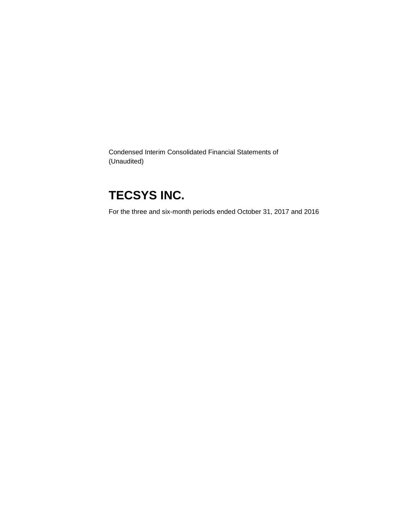Condensed Interim Consolidated Financial Statements of (Unaudited)

# **TECSYS INC.**

For the three and six-month periods ended October 31, 2017 and 2016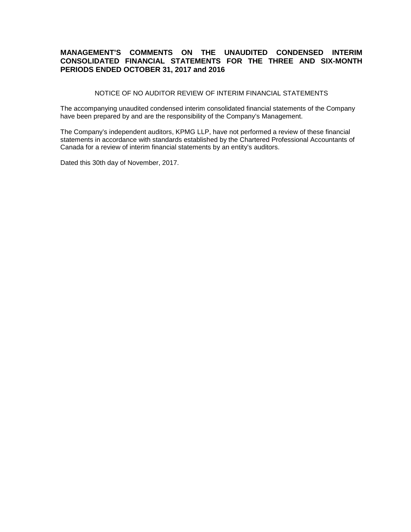### **MANAGEMENT'S COMMENTS ON THE UNAUDITED CONDENSED INTERIM CONSOLIDATED FINANCIAL STATEMENTS FOR THE THREE AND SIX-MONTH PERIODS ENDED OCTOBER 31, 2017 and 2016**

NOTICE OF NO AUDITOR REVIEW OF INTERIM FINANCIAL STATEMENTS

The accompanying unaudited condensed interim consolidated financial statements of the Company have been prepared by and are the responsibility of the Company's Management.

The Company's independent auditors, KPMG LLP, have not performed a review of these financial statements in accordance with standards established by the Chartered Professional Accountants of Canada for a review of interim financial statements by an entity's auditors.

Dated this 30th day of November, 2017.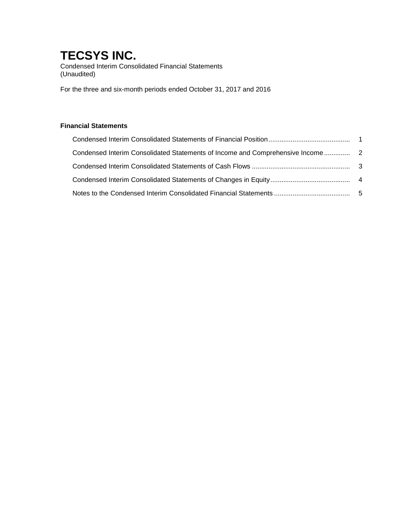Condensed Interim Consolidated Financial Statements (Unaudited)

For the three and six-month periods ended October 31, 2017 and 2016

### **Financial Statements**

| Condensed Interim Consolidated Statements of Income and Comprehensive Income |  |
|------------------------------------------------------------------------------|--|
|                                                                              |  |
|                                                                              |  |
|                                                                              |  |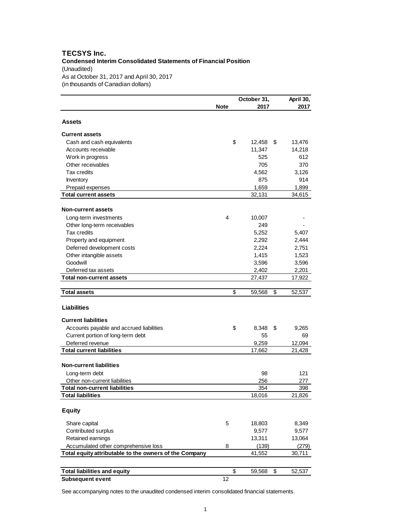#### **TECSYS Inc. Condensed Interim Consolidated Statements of Financial Position** (Unaudited) As at October 31, 2017 and April 30, 2017 (in thousands of Canadian dollars)

|                                                        |             | October 31,  | April 30, |
|--------------------------------------------------------|-------------|--------------|-----------|
|                                                        | <b>Note</b> | 2017         | 2017      |
| <b>Assets</b>                                          |             |              |           |
|                                                        |             |              |           |
| <b>Current assets</b>                                  |             |              |           |
| Cash and cash equivalents                              | \$          | 12,458<br>\$ | 13,476    |
| Accounts receivable                                    |             | 11,347       | 14,218    |
| Work in progress                                       |             | 525          | 612       |
| Other receivables                                      |             | 705          | 370       |
| Tax credits                                            |             | 4,562        | 3,126     |
| Inventory                                              |             | 875          | 914       |
| Prepaid expenses                                       |             | 1,659        | 1,899     |
| <b>Total current assets</b>                            |             | 32,131       | 34,615    |
| <b>Non-current assets</b>                              |             |              |           |
| Long-term investments                                  | 4           | 10,007       |           |
| Other long-term receivables                            |             | 249          |           |
| <b>Tax credits</b>                                     |             | 5,252        | 5,407     |
| Property and equipment                                 |             | 2,292        | 2,444     |
| Deferred development costs                             |             | 2,224        | 2,751     |
| Other intangible assets                                |             | 1,415        | 1,523     |
| Goodwill                                               |             | 3,596        | 3,596     |
| Deferred tax assets                                    |             | 2,402        | 2,201     |
| <b>Total non-current assets</b>                        |             | 27,437       | 17,922    |
|                                                        |             |              |           |
| <b>Total assets</b>                                    | \$          | \$<br>59,568 | 52,537    |
| <b>Liabilities</b>                                     |             |              |           |
| <b>Current liabilities</b>                             |             |              |           |
| Accounts payable and accrued liabilities               | \$          | 8,348<br>\$  | 9,265     |
| Current portion of long-term debt                      |             | 55           | 69        |
| Deferred revenue                                       |             | 9,259        | 12,094    |
| <b>Total current liabilities</b>                       |             | 17,662       | 21,428    |
|                                                        |             |              |           |
| <b>Non-current liabilities</b>                         |             |              |           |
| Long-term debt                                         |             | 98           | 121       |
| Other non-current liabilities                          |             | 256          | 277       |
| <b>Total non-current liabilities</b>                   |             | 354          | 398       |
| <b>Total liabilities</b>                               |             | 18,016       | 21,826    |
| <b>Equity</b>                                          |             |              |           |
| Share capital                                          | 5           | 18,803       | 8,349     |
| Contributed surplus                                    |             | 9,577        | 9,577     |
| Retained earnings                                      |             | 13,311       | 13,064    |
| Accumulated other comprehensive loss                   | 8           | (139)        | (279)     |
| Total equity attributable to the owners of the Company |             | 41,552       | 30,711    |
|                                                        |             |              |           |
| <b>Total liabilities and equity</b>                    | \$          | 59,568<br>\$ | 52,537    |
| <b>Subsequent event</b>                                | 12          |              |           |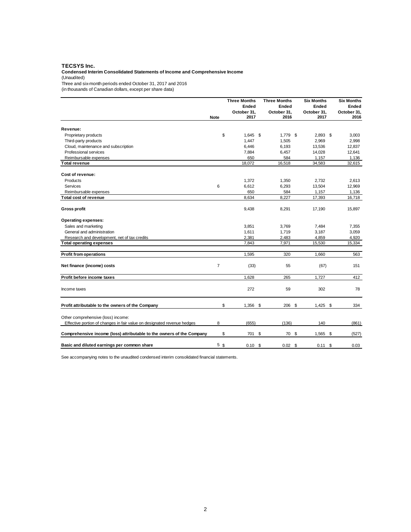#### **TECSYS Inc.**

#### **Condensed Interim Consolidated Statements of Income and Comprehensive Income** (Unaudited)

Three and six-month periods ended October 31, 2017 and 2016

(in thousands of Canadian dollars, except per share data)

|                                                                         |                | <b>Three Months</b> | <b>Three Months</b> | <b>Six Months</b> | <b>Six Months</b> |
|-------------------------------------------------------------------------|----------------|---------------------|---------------------|-------------------|-------------------|
|                                                                         |                | Ended               | Ended               | Ended             | Ended             |
|                                                                         |                | October 31,         | October 31,         | October 31,       | October 31,       |
| <b>Note</b>                                                             |                | 2017                | 2016                | 2017              | 2016              |
| Revenue:                                                                |                |                     |                     |                   |                   |
| Proprietary products                                                    | \$             | 1.645               | \$<br>$1.779$ \$    | $2.893$ \$        | 3,003             |
|                                                                         |                |                     |                     |                   |                   |
| Third-party products                                                    |                | 1,447               | 1,505               | 2,969             | 2,998             |
| Cloud, maintenance and subscription                                     |                | 6,446               | 6.193               | 13.536            | 12,837            |
| Professional services                                                   |                | 7,884               | 6,457               | 14,028            | 12,641            |
| Reimbursable expenses                                                   |                | 650<br>18,072       | 584<br>16,518       | 1.157<br>34,583   | 1,136<br>32,615   |
| Total revenue                                                           |                |                     |                     |                   |                   |
| Cost of revenue:                                                        |                |                     |                     |                   |                   |
| Products                                                                |                | 1,372               | 1,350               | 2,732             | 2,613             |
| Services                                                                | 6              | 6,612               | 6,293               | 13,504            | 12,969            |
| Reimbursable expenses                                                   |                | 650                 | 584                 | 1.157             | 1,136             |
| Total cost of revenue                                                   |                | 8,634               | 8,227               | 17,393            | 16,718            |
|                                                                         |                |                     |                     |                   |                   |
| Gross profit                                                            |                | 9,438               | 8,291               | 17,190            | 15,897            |
| <b>Operating expenses:</b>                                              |                |                     |                     |                   |                   |
| Sales and marketing                                                     |                | 3,851               | 3,769               | 7,484             | 7,355             |
| General and administration                                              |                | 1,611               | 1,719               | 3,187             | 3,059             |
| Research and development, net of tax credits                            |                | 2.381               | 2.483               | 4,859             | 4,920             |
| <b>Total operating expenses</b>                                         |                | 7,843               | 7,971               | 15,530            | 15,334            |
| <b>Profit from operations</b>                                           |                | 1.595               | 320                 | 1.660             | 563               |
|                                                                         |                |                     |                     |                   |                   |
| Net finance (income) costs                                              | $\overline{7}$ | (33)                | 55                  | (67)              | 151               |
| Profit before income taxes                                              |                | 1,628               | 265                 | 1,727             | 412               |
| Income taxes                                                            |                | 272                 | 59                  | 302               | 78                |
| Profit attributable to the owners of the Company                        | \$             | 1,356 \$            | 206 \$              | $1,425$ \$        | 334               |
| Other comprehensive (loss) income:                                      |                |                     |                     |                   |                   |
| Effective portion of changes in fair value on designated revenue hedges | 8              | (655)               | (136)               | 140               | (861)             |
| Comprehensive income (loss) attributable to the owners of the Company   | \$             | 701 \$              | 70 \$               | 1,565 \$          | (527)             |
| Basic and diluted earnings per common share                             | 5 \$           | 0.10                | \$<br>$0.02$ \$     | $0.11 \text{ } $$ | 0.03              |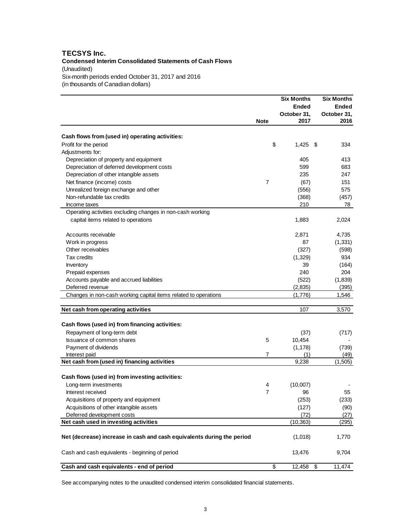### **TECSYS Inc. Condensed Interim Consolidated Statements of Cash Flows** (Unaudited) Six-month periods ended October 31, 2017 and 2016 (in thousands of Canadian dollars)

|                                                                        |                | <b>Six Months</b><br>Ended | <b>Six Months</b><br><b>Ended</b> |
|------------------------------------------------------------------------|----------------|----------------------------|-----------------------------------|
|                                                                        |                | October 31,                | October 31,                       |
|                                                                        | <b>Note</b>    | 2017                       | 2016                              |
| Cash flows from (used in) operating activities:                        |                |                            |                                   |
| Profit for the period                                                  | \$             | 1,425                      | \$<br>334                         |
| Adjustments for:                                                       |                |                            |                                   |
| Depreciation of property and equipment                                 |                | 405                        | 413                               |
| Depreciation of deferred development costs                             |                | 599                        | 683                               |
| Depreciation of other intangible assets                                |                | 235                        | 247                               |
| Net finance (income) costs                                             | $\overline{7}$ | (67)                       | 151                               |
| Unrealized foreign exchange and other                                  |                | (556)                      | 575                               |
| Non-refundable tax credits                                             |                | (368)                      | (457)                             |
| Income taxes                                                           |                | 210                        | 78                                |
| Operating activities excluding changes in non-cash working             |                |                            |                                   |
| capital items related to operations                                    |                | 1,883                      | 2,024                             |
|                                                                        |                |                            |                                   |
| Accounts receivable                                                    |                | 2,871                      | 4,735                             |
| Work in progress                                                       |                | 87                         | (1, 331)                          |
| Other receivables                                                      |                | (327)                      | (598)                             |
| Tax credits                                                            |                | (1,329)                    | 934                               |
| Inventory                                                              |                | 39                         | (164)                             |
| Prepaid expenses                                                       |                | 240                        | 204                               |
| Accounts payable and accrued liabilities                               |                | (522)                      | (1,839)                           |
| Deferred revenue                                                       |                | (2,835)                    | (395)                             |
| Changes in non-cash working capital items related to operations        |                | (1,776)                    | 1,546                             |
|                                                                        |                |                            |                                   |
| Net cash from operating activities                                     |                | 107                        | 3,570                             |
| Cash flows (used in) from financing activities:                        |                |                            |                                   |
| Repayment of long-term debt                                            |                | (37)                       | (717)                             |
| Issuance of common shares                                              | 5              | 10,454                     |                                   |
| Payment of dividends                                                   |                | (1, 178)                   | (739)                             |
| Interest paid                                                          | 7              | (1)                        | (49)                              |
| Net cash from (used in) financing activities                           |                | 9,238                      | (1,505)                           |
|                                                                        |                |                            |                                   |
| Cash flows (used in) from investing activities:                        |                |                            |                                   |
| Long-term investments                                                  | 4              | (10,007)                   |                                   |
| Interest received                                                      | 7              | 96                         | 55                                |
| Acquisitions of property and equipment                                 |                | (253)                      | (233)                             |
| Acquisitions of other intangible assets                                |                | (127)                      | (90)                              |
| Deferred development costs                                             |                | (72)                       | (27)                              |
| Net cash used in investing activities                                  |                | (10, 363)                  | (295)                             |
| Net (decrease) increase in cash and cash equivalents during the period |                | (1,018)                    | 1,770                             |
| Cash and cash equivalents - beginning of period                        |                | 13,476                     | 9,704                             |
| Cash and cash equivalents - end of period                              | \$             | 12,458                     | \$<br>11,474                      |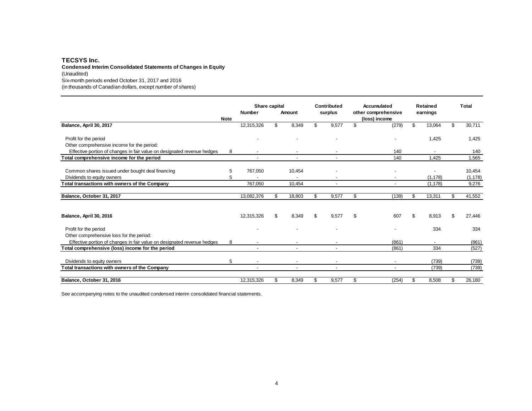#### **TECSYS Inc. Condensed Interim Consolidated Statements of Changes in Equity** (Unaudited) Six-month periods ended October 31, 2017 and 2016

(in thousands of Canadian dollars, except number of shares)

|                                                                         |             | Contributed<br>Share capital |     | Accumulated |                          | <b>Retained</b> |                     | Total |          |    |          |
|-------------------------------------------------------------------------|-------------|------------------------------|-----|-------------|--------------------------|-----------------|---------------------|-------|----------|----|----------|
|                                                                         |             | <b>Number</b>                |     | Amount      | surplus                  |                 | other comprehensive |       | earnings |    |          |
|                                                                         | <b>Note</b> |                              |     |             |                          |                 | (loss) income       |       |          |    |          |
| Balance, April 30, 2017                                                 |             | 12,315,326                   | \$  | 8,349       | \$<br>9,577              | \$              | (279)               | \$    | 13,064   | \$ | 30,711   |
| Profit for the period                                                   |             |                              |     |             |                          |                 |                     |       | 1,425    |    | 1,425    |
| Other comprehensive income for the period:                              |             |                              |     |             |                          |                 |                     |       |          |    |          |
| Effective portion of changes in fair value on designated revenue hedges | 8           |                              |     |             |                          |                 | 140                 |       |          |    | 140      |
| Total comprehensive income for the period                               |             |                              |     |             |                          |                 | 140                 |       | 1,425    |    | 1,565    |
| Common shares issued under bought deal financing                        | 5           | 767,050                      |     | 10,454      |                          |                 |                     |       |          |    | 10,454   |
| Dividends to equity owners                                              | 5           |                              |     |             |                          |                 |                     |       | (1, 178) |    | (1, 178) |
| Total transactions with owners of the Company                           |             | 767.050                      |     | 10.454      | $\overline{\phantom{a}}$ |                 |                     |       | (1, 178) |    | 9,276    |
| Balance, October 31, 2017                                               |             | 13,082,376                   | \$. | 18,803      | \$<br>9,577              | \$              | (139)               | \$    | 13,311   | \$ | 41,552   |
| Balance, April 30, 2016                                                 |             | 12,315,326                   | \$  | 8,349       | \$<br>9,577              | \$              | 607                 | \$    | 8,913    | \$ | 27,446   |
| Profit for the period<br>Other comprehensive loss for the period:       |             |                              |     |             |                          |                 |                     |       | 334      |    | 334      |
| Effective portion of changes in fair value on designated revenue hedges | 8           |                              |     |             |                          |                 | (861)               |       |          |    | (861)    |
| Total comprehensive (loss) income for the period                        |             |                              |     |             |                          |                 | (861)               |       | 334      |    | (527)    |
| Dividends to equity owners                                              | 5           |                              |     |             |                          |                 |                     |       | (739)    |    | (739)    |
| Total transactions with owners of the Company                           |             |                              |     |             |                          |                 |                     |       | (739)    |    | (739)    |
| Balance, October 31, 2016                                               |             | 12,315,326                   | \$  | 8,349       | \$<br>9,577              | \$              | (254)               | \$    | 8,508    | \$ | 26,180   |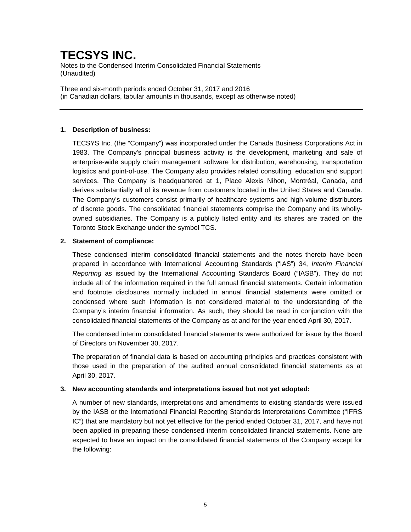Notes to the Condensed Interim Consolidated Financial Statements (Unaudited)

Three and six-month periods ended October 31, 2017 and 2016 (in Canadian dollars, tabular amounts in thousands, except as otherwise noted)

### **1. Description of business:**

TECSYS Inc. (the "Company") was incorporated under the Canada Business Corporations Act in 1983. The Company's principal business activity is the development, marketing and sale of enterprise-wide supply chain management software for distribution, warehousing, transportation logistics and point-of-use. The Company also provides related consulting, education and support services. The Company is headquartered at 1, Place Alexis Nihon, Montréal, Canada, and derives substantially all of its revenue from customers located in the United States and Canada. The Company's customers consist primarily of healthcare systems and high-volume distributors of discrete goods. The consolidated financial statements comprise the Company and its whollyowned subsidiaries. The Company is a publicly listed entity and its shares are traded on the Toronto Stock Exchange under the symbol TCS.

### **2. Statement of compliance:**

These condensed interim consolidated financial statements and the notes thereto have been prepared in accordance with International Accounting Standards ("IAS") 34, *Interim Financial Reporting* as issued by the International Accounting Standards Board ("IASB"). They do not include all of the information required in the full annual financial statements. Certain information and footnote disclosures normally included in annual financial statements were omitted or condensed where such information is not considered material to the understanding of the Company's interim financial information. As such, they should be read in conjunction with the consolidated financial statements of the Company as at and for the year ended April 30, 2017.

The condensed interim consolidated financial statements were authorized for issue by the Board of Directors on November 30, 2017.

The preparation of financial data is based on accounting principles and practices consistent with those used in the preparation of the audited annual consolidated financial statements as at April 30, 2017.

#### **3. New accounting standards and interpretations issued but not yet adopted:**

A number of new standards, interpretations and amendments to existing standards were issued by the IASB or the International Financial Reporting Standards Interpretations Committee ("IFRS IC") that are mandatory but not yet effective for the period ended October 31, 2017, and have not been applied in preparing these condensed interim consolidated financial statements. None are expected to have an impact on the consolidated financial statements of the Company except for the following: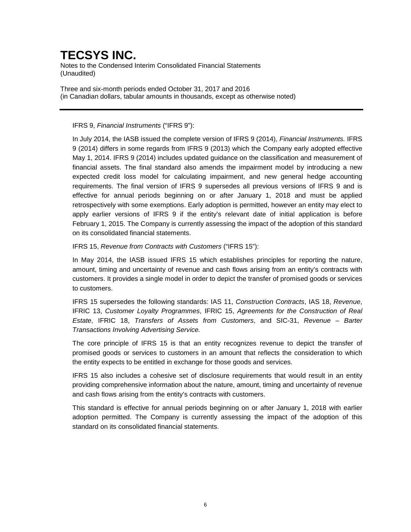Notes to the Condensed Interim Consolidated Financial Statements (Unaudited)

Three and six-month periods ended October 31, 2017 and 2016 (in Canadian dollars, tabular amounts in thousands, except as otherwise noted)

### IFRS 9, *Financial Instruments* ("IFRS 9"):

In July 2014, the IASB issued the complete version of IFRS 9 (2014), *Financial Instruments.* IFRS 9 (2014) differs in some regards from IFRS 9 (2013) which the Company early adopted effective May 1, 2014. IFRS 9 (2014) includes updated guidance on the classification and measurement of financial assets. The final standard also amends the impairment model by introducing a new expected credit loss model for calculating impairment, and new general hedge accounting requirements. The final version of IFRS 9 supersedes all previous versions of IFRS 9 and is effective for annual periods beginning on or after January 1, 2018 and must be applied retrospectively with some exemptions. Early adoption is permitted, however an entity may elect to apply earlier versions of IFRS 9 if the entity's relevant date of initial application is before February 1, 2015. The Company is currently assessing the impact of the adoption of this standard on its consolidated financial statements.

IFRS 15, *Revenue from Contracts with Customers* ("IFRS 15"):

In May 2014, the IASB issued IFRS 15 which establishes principles for reporting the nature, amount, timing and uncertainty of revenue and cash flows arising from an entity's contracts with customers. It provides a single model in order to depict the transfer of promised goods or services to customers.

IFRS 15 supersedes the following standards: IAS 11, *Construction Contracts*, IAS 18, *Revenue*, IFRIC 13, *Customer Loyalty Programmes*, IFRIC 15, *Agreements for the Construction of Real Estate*, IFRIC 18, *Transfers of Assets from Customers*, and SIC-31, *Revenue – Barter Transactions Involving Advertising Service.*

The core principle of IFRS 15 is that an entity recognizes revenue to depict the transfer of promised goods or services to customers in an amount that reflects the consideration to which the entity expects to be entitled in exchange for those goods and services.

IFRS 15 also includes a cohesive set of disclosure requirements that would result in an entity providing comprehensive information about the nature, amount, timing and uncertainty of revenue and cash flows arising from the entity's contracts with customers.

This standard is effective for annual periods beginning on or after January 1, 2018 with earlier adoption permitted. The Company is currently assessing the impact of the adoption of this standard on its consolidated financial statements.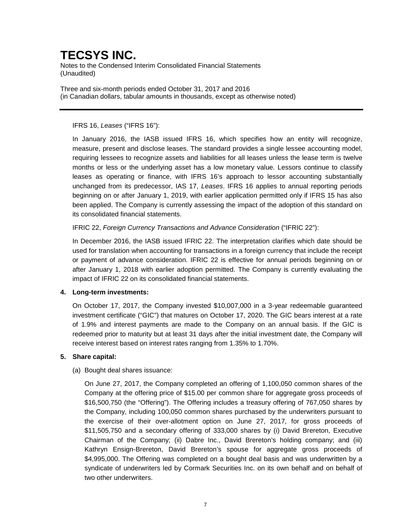Notes to the Condensed Interim Consolidated Financial Statements (Unaudited)

Three and six-month periods ended October 31, 2017 and 2016 (in Canadian dollars, tabular amounts in thousands, except as otherwise noted)

### IFRS 16, *Leases* ("IFRS 16"):

In January 2016, the IASB issued IFRS 16, which specifies how an entity will recognize, measure, present and disclose leases. The standard provides a single lessee accounting model, requiring lessees to recognize assets and liabilities for all leases unless the lease term is twelve months or less or the underlying asset has a low monetary value. Lessors continue to classify leases as operating or finance, with IFRS 16's approach to lessor accounting substantially unchanged from its predecessor, IAS 17, *Leases*. IFRS 16 applies to annual reporting periods beginning on or after January 1, 2019, with earlier application permitted only if IFRS 15 has also been applied. The Company is currently assessing the impact of the adoption of this standard on its consolidated financial statements.

### IFRIC 22, *Foreign Currency Transactions and Advance Consideration* ("IFRIC 22"):

In December 2016, the IASB issued IFRIC 22. The interpretation clarifies which date should be used for translation when accounting for transactions in a foreign currency that include the receipt or payment of advance consideration. IFRIC 22 is effective for annual periods beginning on or after January 1, 2018 with earlier adoption permitted. The Company is currently evaluating the impact of IFRIC 22 on its consolidated financial statements.

### **4. Long-term investments:**

On October 17, 2017, the Company invested \$10,007,000 in a 3-year redeemable guaranteed investment certificate ("GIC") that matures on October 17, 2020. The GIC bears interest at a rate of 1.9% and interest payments are made to the Company on an annual basis. If the GIC is redeemed prior to maturity but at least 31 days after the initial investment date, the Company will receive interest based on interest rates ranging from 1.35% to 1.70%.

#### **5. Share capital:**

### (a) Bought deal shares issuance:

On June 27, 2017, the Company completed an offering of 1,100,050 common shares of the Company at the offering price of \$15.00 per common share for aggregate gross proceeds of \$16,500,750 (the "Offering"). The Offering includes a treasury offering of 767,050 shares by the Company, including 100,050 common shares purchased by the underwriters pursuant to the exercise of their over-allotment option on June 27, 2017, for gross proceeds of \$11,505,750 and a secondary offering of 333,000 shares by (i) David Brereton, Executive Chairman of the Company; (ii) Dabre Inc., David Brereton's holding company; and (iii) Kathryn Ensign-Brereton, David Brereton's spouse for aggregate gross proceeds of \$4,995,000. The Offering was completed on a bought deal basis and was underwritten by a syndicate of underwriters led by Cormark Securities Inc. on its own behalf and on behalf of two other underwriters.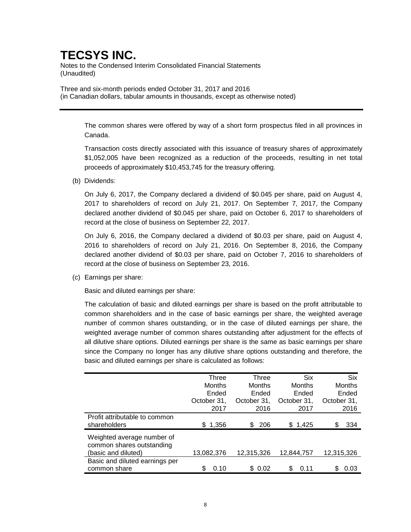Notes to the Condensed Interim Consolidated Financial Statements (Unaudited)

Three and six-month periods ended October 31, 2017 and 2016 (in Canadian dollars, tabular amounts in thousands, except as otherwise noted)

> The common shares were offered by way of a short form prospectus filed in all provinces in Canada.

> Transaction costs directly associated with this issuance of treasury shares of approximately \$1,052,005 have been recognized as a reduction of the proceeds, resulting in net total proceeds of approximately \$10,453,745 for the treasury offering.

(b) Dividends:

On July 6, 2017, the Company declared a dividend of \$0.045 per share, paid on August 4, 2017 to shareholders of record on July 21, 2017. On September 7, 2017, the Company declared another dividend of \$0.045 per share, paid on October 6, 2017 to shareholders of record at the close of business on September 22, 2017.

On July 6, 2016, the Company declared a dividend of \$0.03 per share, paid on August 4, 2016 to shareholders of record on July 21, 2016. On September 8, 2016, the Company declared another dividend of \$0.03 per share, paid on October 7, 2016 to shareholders of record at the close of business on September 23, 2016.

(c) Earnings per share:

Basic and diluted earnings per share:

The calculation of basic and diluted earnings per share is based on the profit attributable to common shareholders and in the case of basic earnings per share, the weighted average number of common shares outstanding, or in the case of diluted earnings per share, the weighted average number of common shares outstanding after adjustment for the effects of all dilutive share options. Diluted earnings per share is the same as basic earnings per share since the Company no longer has any dilutive share options outstanding and therefore, the basic and diluted earnings per share is calculated as follows:

|                                                         | Three        | Three         | <b>Six</b>  | <b>Six</b>  |
|---------------------------------------------------------|--------------|---------------|-------------|-------------|
|                                                         | Months       | <b>Months</b> | Months      | Months      |
|                                                         | Ended        | Ended         | Ended       | Ended       |
|                                                         | October 31,  | October 31,   | October 31, | October 31, |
|                                                         | 2017         | 2016          | 2017        | 2016        |
| Profit attributable to common                           |              |               |             |             |
| shareholders                                            | 1,356<br>\$. | 206<br>S      | \$1,425     | \$<br>334   |
| Weighted average number of<br>common shares outstanding |              |               |             |             |
| (basic and diluted)                                     | 13,082,376   | 12,315,326    | 12,844,757  | 12,315,326  |
| Basic and diluted earnings per                          |              |               |             |             |
| common share                                            | \$<br>0.10   | \$ 0.02       | \$<br>0.11  | S<br>0.03   |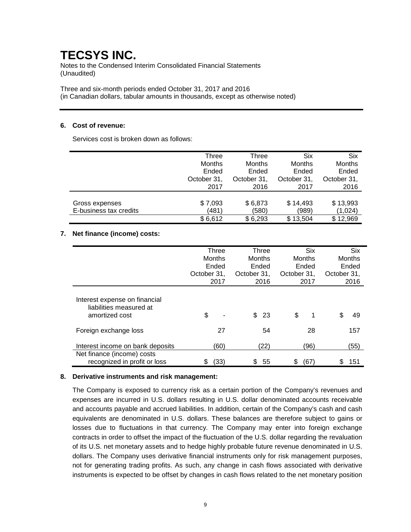Notes to the Condensed Interim Consolidated Financial Statements (Unaudited)

Three and six-month periods ended October 31, 2017 and 2016 (in Canadian dollars, tabular amounts in thousands, except as otherwise noted)

### **6. Cost of revenue:**

Services cost is broken down as follows:

|                        | Three       | Three         | <b>Six</b>    | Six         |
|------------------------|-------------|---------------|---------------|-------------|
|                        | Months      | <b>Months</b> | <b>Months</b> | Months      |
|                        | Ended       | Ended         | Ended         | Ended       |
|                        | October 31, | October 31,   | October 31,   | October 31, |
|                        | 2017        | 2016          | 2017          | 2016        |
|                        |             |               |               |             |
| Gross expenses         | \$7,093     | \$6,873       | \$14,493      | \$13,993    |
| E-business tax credits | (481)       | (580)         | (989)         | (1,024)     |
|                        | \$6,612     | \$6,293       | \$13,504      | \$12,969    |

### **7. Net finance (income) costs:**

|                                                                            | Three<br><b>Months</b><br>Ended<br>October 31,<br>2017 |      | Three<br>Months<br>Ended<br>October 31,<br>2016 |      | <b>Six</b><br>Months<br>Ended<br>October 31,<br>2017 |      | <b>Six</b><br>Months<br>Ended<br>October 31,<br>2016 |          |
|----------------------------------------------------------------------------|--------------------------------------------------------|------|-------------------------------------------------|------|------------------------------------------------------|------|------------------------------------------------------|----------|
| Interest expense on financial<br>liabilities measured at<br>amortized cost | \$                                                     |      | \$                                              | 23   | \$                                                   | 1    |                                                      | \$<br>49 |
| Foreign exchange loss                                                      |                                                        | 27   |                                                 | 54   |                                                      | 28   |                                                      | 157      |
| Interest income on bank deposits                                           |                                                        | (60) |                                                 | (22) |                                                      | (96) |                                                      | (55)     |
| Net finance (income) costs<br>recognized in profit or loss                 | 2                                                      | (33) | S                                               | 55   | S                                                    | (67) |                                                      | 151<br>S |

### **8. Derivative instruments and risk management:**

The Company is exposed to currency risk as a certain portion of the Company's revenues and expenses are incurred in U.S. dollars resulting in U.S. dollar denominated accounts receivable and accounts payable and accrued liabilities. In addition, certain of the Company's cash and cash equivalents are denominated in U.S. dollars. These balances are therefore subject to gains or losses due to fluctuations in that currency. The Company may enter into foreign exchange contracts in order to offset the impact of the fluctuation of the U.S. dollar regarding the revaluation of its U.S. net monetary assets and to hedge highly probable future revenue denominated in U.S. dollars. The Company uses derivative financial instruments only for risk management purposes, not for generating trading profits. As such, any change in cash flows associated with derivative instruments is expected to be offset by changes in cash flows related to the net monetary position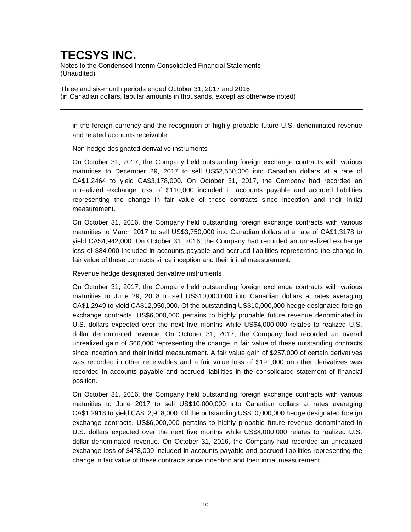Notes to the Condensed Interim Consolidated Financial Statements (Unaudited)

Three and six-month periods ended October 31, 2017 and 2016 (in Canadian dollars, tabular amounts in thousands, except as otherwise noted)

in the foreign currency and the recognition of highly probable future U.S. denominated revenue and related accounts receivable.

Non-hedge designated derivative instruments

On October 31, 2017, the Company held outstanding foreign exchange contracts with various maturities to December 29, 2017 to sell US\$2,550,000 into Canadian dollars at a rate of CA\$1.2464 to yield CA\$3,178,000. On October 31, 2017, the Company had recorded an unrealized exchange loss of \$110,000 included in accounts payable and accrued liabilities representing the change in fair value of these contracts since inception and their initial measurement.

On October 31, 2016, the Company held outstanding foreign exchange contracts with various maturities to March 2017 to sell US\$3,750,000 into Canadian dollars at a rate of CA\$1.3178 to yield CA\$4,942,000. On October 31, 2016, the Company had recorded an unrealized exchange loss of \$84,000 included in accounts payable and accrued liabilities representing the change in fair value of these contracts since inception and their initial measurement.

Revenue hedge designated derivative instruments

On October 31, 2017, the Company held outstanding foreign exchange contracts with various maturities to June 29, 2018 to sell US\$10,000,000 into Canadian dollars at rates averaging CA\$1.2949 to yield CA\$12,950,000. Of the outstanding US\$10,000,000 hedge designated foreign exchange contracts, US\$6,000,000 pertains to highly probable future revenue denominated in U.S. dollars expected over the next five months while US\$4,000,000 relates to realized U.S. dollar denominated revenue. On October 31, 2017, the Company had recorded an overall unrealized gain of \$66,000 representing the change in fair value of these outstanding contracts since inception and their initial measurement. A fair value gain of \$257,000 of certain derivatives was recorded in other receivables and a fair value loss of \$191,000 on other derivatives was recorded in accounts payable and accrued liabilities in the consolidated statement of financial position.

On October 31, 2016, the Company held outstanding foreign exchange contracts with various maturities to June 2017 to sell US\$10,000,000 into Canadian dollars at rates averaging CA\$1.2918 to yield CA\$12,918,000. Of the outstanding US\$10,000,000 hedge designated foreign exchange contracts, US\$6,000,000 pertains to highly probable future revenue denominated in U.S. dollars expected over the next five months while US\$4,000,000 relates to realized U.S. dollar denominated revenue. On October 31, 2016, the Company had recorded an unrealized exchange loss of \$478,000 included in accounts payable and accrued liabilities representing the change in fair value of these contracts since inception and their initial measurement.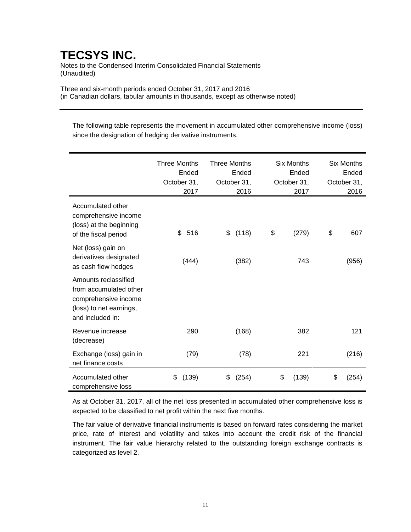Notes to the Condensed Interim Consolidated Financial Statements (Unaudited)

Three and six-month periods ended October 31, 2017 and 2016 (in Canadian dollars, tabular amounts in thousands, except as otherwise noted)

The following table represents the movement in accumulated other comprehensive income (loss) since the designation of hedging derivative instruments.

|                                                                                                                       | <b>Three Months</b><br>Ended<br>October 31,<br>2017 | <b>Three Months</b><br>Ended<br>October 31,<br>2016 | <b>Six Months</b><br>Ended<br>October 31,<br>2017 | <b>Six Months</b><br>Ended<br>October 31,<br>2016 |
|-----------------------------------------------------------------------------------------------------------------------|-----------------------------------------------------|-----------------------------------------------------|---------------------------------------------------|---------------------------------------------------|
| Accumulated other<br>comprehensive income<br>(loss) at the beginning<br>of the fiscal period                          | 516<br>\$                                           | (118)<br>\$                                         | \$<br>(279)                                       | \$<br>607                                         |
| Net (loss) gain on<br>derivatives designated<br>as cash flow hedges                                                   | (444)                                               | (382)                                               | 743                                               | (956)                                             |
| Amounts reclassified<br>from accumulated other<br>comprehensive income<br>(loss) to net earnings,<br>and included in: |                                                     |                                                     |                                                   |                                                   |
| Revenue increase<br>(decrease)                                                                                        | 290                                                 | (168)                                               | 382                                               | 121                                               |
| Exchange (loss) gain in<br>net finance costs                                                                          | (79)                                                | (78)                                                | 221                                               | (216)                                             |
| Accumulated other<br>comprehensive loss                                                                               | (139)<br>\$                                         | \$<br>(254)                                         | \$<br>(139)                                       | \$<br>(254)                                       |

As at October 31, 2017, all of the net loss presented in accumulated other comprehensive loss is expected to be classified to net profit within the next five months.

The fair value of derivative financial instruments is based on forward rates considering the market price, rate of interest and volatility and takes into account the credit risk of the financial instrument. The fair value hierarchy related to the outstanding foreign exchange contracts is categorized as level 2.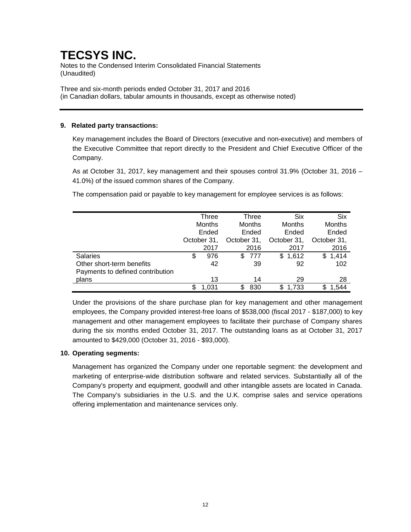Notes to the Condensed Interim Consolidated Financial Statements (Unaudited)

Three and six-month periods ended October 31, 2017 and 2016 (in Canadian dollars, tabular amounts in thousands, except as otherwise noted)

### **9. Related party transactions:**

Key management includes the Board of Directors (executive and non-executive) and members of the Executive Committee that report directly to the President and Chief Executive Officer of the Company.

As at October 31, 2017, key management and their spouses control 31.9% (October 31, 2016 – 41.0%) of the issued common shares of the Company.

The compensation paid or payable to key management for employee services is as follows:

|                                  |        | Three       |               | Three |               | <b>Six</b> |     | <b>Six</b>    |
|----------------------------------|--------|-------------|---------------|-------|---------------|------------|-----|---------------|
|                                  | Months |             | <b>Months</b> |       | <b>Months</b> |            |     | <b>Months</b> |
|                                  | Ended  |             | Ended         |       |               | Ended      |     | Ended         |
|                                  |        | October 31, | October 31,   |       | October 31,   |            |     | October 31,   |
|                                  |        | 2017        |               | 2016  |               | 2017       |     | 2016          |
| <b>Salaries</b>                  | \$     | 976         | \$.           | 777   | \$.           | 1,612      | \$. | 1,414         |
| Other short-term benefits        |        | 42          |               | 39    |               | 92         |     | 102           |
| Payments to defined contribution |        |             |               |       |               |            |     |               |
| plans                            |        | 13          |               | 14    |               | 29         |     | 28            |
|                                  |        | 1.031       |               | 830   | \$            | 1.733      | S   | .544          |

Under the provisions of the share purchase plan for key management and other management employees, the Company provided interest-free loans of \$538,000 (fiscal 2017 - \$187,000) to key management and other management employees to facilitate their purchase of Company shares during the six months ended October 31, 2017. The outstanding loans as at October 31, 2017 amounted to \$429,000 (October 31, 2016 - \$93,000).

### **10. Operating segments:**

Management has organized the Company under one reportable segment: the development and marketing of enterprise-wide distribution software and related services. Substantially all of the Company's property and equipment, goodwill and other intangible assets are located in Canada. The Company's subsidiaries in the U.S. and the U.K. comprise sales and service operations offering implementation and maintenance services only.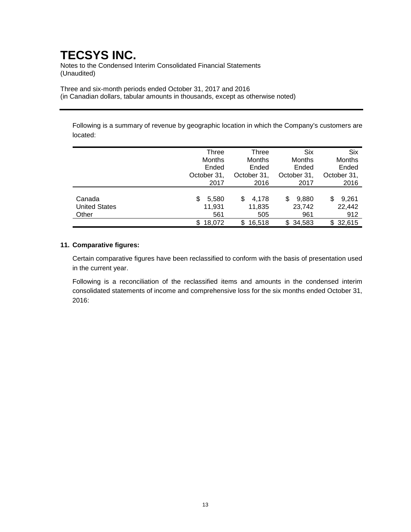Notes to the Condensed Interim Consolidated Financial Statements (Unaudited)

Three and six-month periods ended October 31, 2017 and 2016 (in Canadian dollars, tabular amounts in thousands, except as otherwise noted)

Following is a summary of revenue by geographic location in which the Company's customers are located:

|                      | Three         | Three         | <b>Six</b>    | <b>Six</b>  |
|----------------------|---------------|---------------|---------------|-------------|
|                      | Months        | Months        | <b>Months</b> | Months      |
|                      | Ended         | Ended         | Ended         | Ended       |
|                      | October 31,   | October 31,   | October 31,   | October 31, |
|                      | 2017          | 2016          | 2017          | 2016        |
|                      |               |               |               |             |
| Canada               | 5,580<br>S    | 4.178<br>S    | 9,880<br>\$.  | 9,261<br>S  |
| <b>United States</b> | 11,931        | 11,835        | 23,742        | 22,442      |
| Other                | 561           | 505           | 961           | 912         |
|                      | 18.072<br>\$. | 16.518<br>\$. | 34,583<br>\$. | \$32,615    |

### **11. Comparative figures:**

Certain comparative figures have been reclassified to conform with the basis of presentation used in the current year.

Following is a reconciliation of the reclassified items and amounts in the condensed interim consolidated statements of income and comprehensive loss for the six months ended October 31, 2016: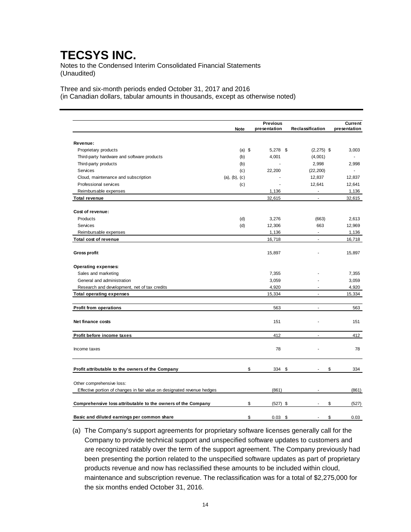Notes to the Condensed Interim Consolidated Financial Statements (Unaudited)

Three and six-month periods ended October 31, 2017 and 2016 (in Canadian dollars, tabular amounts in thousands, except as otherwise noted)

|                                                                         |               |          | <b>Previous</b>  |                  | <b>Current</b> |
|-------------------------------------------------------------------------|---------------|----------|------------------|------------------|----------------|
|                                                                         | <b>Note</b>   |          | presentation     | Reclassification | presentation   |
|                                                                         |               |          |                  |                  |                |
| Revenue:                                                                |               |          |                  |                  |                |
| Proprietary products                                                    |               | $(a)$ \$ | 5,278 \$         | $(2,275)$ \$     | 3,003          |
| Third-party hardware and software products                              |               | (b)      | 4,001            | (4,001)          |                |
| Third-party products                                                    |               | (b)      |                  | 2,998            | 2,998          |
| Services                                                                |               | (c)      | 22,200           | (22, 200)        |                |
| Cloud, maintenance and subscription                                     | (a), (b), (c) |          |                  | 12,837           | 12,837         |
| Professional services                                                   |               | (c)      |                  | 12,641           | 12,641         |
| Reimbursable expenses                                                   |               |          | 1,136            | ÷.               | 1,136          |
| <b>Total revenue</b>                                                    |               |          | 32,615           | ÷.               | 32,615         |
| Cost of revenue:                                                        |               |          |                  |                  |                |
| Products                                                                |               | (d)      | 3,276            | (663)            | 2,613          |
| Services                                                                |               | (d)      | 12,306           | 663              | 12,969         |
| Reimbursable expenses                                                   |               |          | 1,136            | ÷,               | 1,136          |
| Total cost of revenue                                                   |               |          | 16,718           | ÷.               | 16,718         |
| <b>Gross profit</b>                                                     |               |          | 15,897           |                  | 15,897         |
|                                                                         |               |          |                  |                  |                |
| Operating expenses:                                                     |               |          |                  |                  |                |
| Sales and marketing                                                     |               |          | 7,355            |                  | 7,355          |
| General and administration                                              |               |          | 3,059            |                  | 3,059          |
| Research and development, net of tax credits                            |               |          | 4,920            | ÷                | 4,920          |
| <b>Total operating expenses</b>                                         |               |          | 15,334           | ä,               | 15,334         |
| <b>Profit from operations</b>                                           |               |          | 563              | ÷.               | 563            |
| Net finance costs                                                       |               |          | 151              |                  | 151            |
| Profit before income taxes                                              |               |          | 412              | ä,               | 412            |
| Income taxes                                                            |               |          | 78               | ź                | 78             |
| Profit attributable to the owners of the Company                        |               |          | \$<br>334 \$     |                  | \$<br>334      |
| Other comprehensive loss:                                               |               |          |                  |                  |                |
| Effective portion of changes in fair value on designated revenue hedges |               |          | (861)            |                  | (861)          |
| Comprehensive loss attributable to the owners of the Company            |               |          | \$<br>$(527)$ \$ |                  | \$<br>(527)    |
|                                                                         |               |          |                  |                  |                |
| Basic and diluted earnings per common share                             |               |          | \$<br>$0.03$ \$  |                  | \$<br>0.03     |

(a) The Company's support agreements for proprietary software licenses generally call for the Company to provide technical support and unspecified software updates to customers and are recognized ratably over the term of the support agreement. The Company previously had been presenting the portion related to the unspecified software updates as part of proprietary products revenue and now has reclassified these amounts to be included within cloud, maintenance and subscription revenue. The reclassification was for a total of \$2,275,000 for the six months ended October 31, 2016.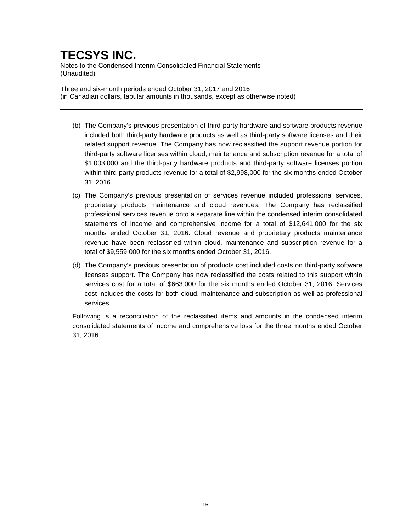Notes to the Condensed Interim Consolidated Financial Statements (Unaudited)

Three and six-month periods ended October 31, 2017 and 2016 (in Canadian dollars, tabular amounts in thousands, except as otherwise noted)

- (b) The Company's previous presentation of third-party hardware and software products revenue included both third-party hardware products as well as third-party software licenses and their related support revenue. The Company has now reclassified the support revenue portion for third-party software licenses within cloud, maintenance and subscription revenue for a total of \$1,003,000 and the third-party hardware products and third-party software licenses portion within third-party products revenue for a total of \$2,998,000 for the six months ended October 31, 2016.
- (c) The Company's previous presentation of services revenue included professional services, proprietary products maintenance and cloud revenues. The Company has reclassified professional services revenue onto a separate line within the condensed interim consolidated statements of income and comprehensive income for a total of \$12,641,000 for the six months ended October 31, 2016. Cloud revenue and proprietary products maintenance revenue have been reclassified within cloud, maintenance and subscription revenue for a total of \$9,559,000 for the six months ended October 31, 2016.
- (d) The Company's previous presentation of products cost included costs on third-party software licenses support. The Company has now reclassified the costs related to this support within services cost for a total of \$663,000 for the six months ended October 31, 2016. Services cost includes the costs for both cloud, maintenance and subscription as well as professional services.

Following is a reconciliation of the reclassified items and amounts in the condensed interim consolidated statements of income and comprehensive loss for the three months ended October 31, 2016: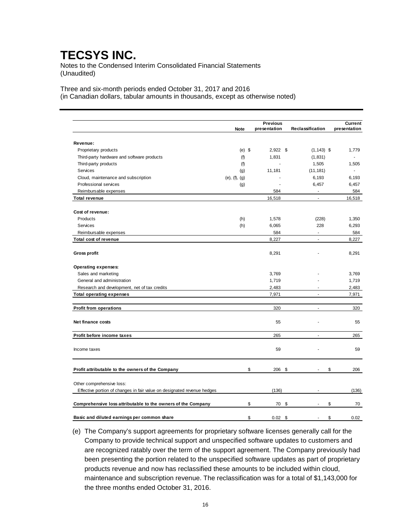Notes to the Condensed Interim Consolidated Financial Statements (Unaudited)

Three and six-month periods ended October 31, 2017 and 2016 (in Canadian dollars, tabular amounts in thousands, except as otherwise noted)

|                                                                                                      |                       |          | <b>Previous</b> |                  | <b>Current</b> |
|------------------------------------------------------------------------------------------------------|-----------------------|----------|-----------------|------------------|----------------|
|                                                                                                      | <b>Note</b>           |          | presentation    | Reclassification | presentation   |
| Revenue:                                                                                             |                       |          |                 |                  |                |
| Proprietary products                                                                                 |                       | $(e)$ \$ | $2,922$ \$      | $(1, 143)$ \$    | 1,779          |
| Third-party hardware and software products                                                           | (f)                   |          | 1,831           | (1,831)          |                |
| Third-party products                                                                                 | (f)                   |          | ÷               | 1,505            | 1,505          |
| Services                                                                                             |                       |          | 11,181          | (11, 181)        |                |
| Cloud, maintenance and subscription                                                                  | (g)                   |          |                 | 6,193            | 6,193          |
|                                                                                                      | $(e)$ , $(f)$ , $(g)$ |          |                 |                  |                |
| Professional services                                                                                | (g)                   |          |                 | 6,457            | 6,457          |
| Reimbursable expenses                                                                                |                       |          | 584             | ÷,               | 584            |
| <b>Total revenue</b>                                                                                 |                       |          | 16,518          | ä,               | 16,518         |
| Cost of revenue:                                                                                     |                       |          |                 |                  |                |
| Products                                                                                             | (h)                   |          | 1,578           | (228)            | 1,350          |
| Services                                                                                             | (h)                   |          | 6,065           | 228              | 6,293          |
| Reimbursable expenses                                                                                |                       |          | 584             | ÷,               | 584            |
| Total cost of revenue                                                                                |                       |          | 8,227           | ÷,               | 8,227          |
| Gross profit                                                                                         |                       |          | 8,291           |                  | 8,291          |
| Operating expenses:                                                                                  |                       |          |                 |                  |                |
| Sales and marketing                                                                                  |                       |          | 3,769           |                  | 3,769          |
| General and administration                                                                           |                       |          | 1,719           |                  | 1,719          |
| Research and development, net of tax credits                                                         |                       |          | 2,483           |                  | 2,483          |
| <b>Total operating expenses</b>                                                                      |                       |          | 7,971           | ä,               | 7,971          |
|                                                                                                      |                       |          |                 |                  |                |
| <b>Profit from operations</b>                                                                        |                       |          | 320             | ÷,               | 320            |
| Net finance costs                                                                                    |                       |          | 55              |                  | 55             |
| Profit before income taxes                                                                           |                       |          | 265             | ä,               | 265            |
| Income taxes                                                                                         |                       |          | 59              |                  | 59             |
| Profit attributable to the owners of the Company                                                     |                       | \$       | 206 \$          |                  | \$<br>206      |
|                                                                                                      |                       |          |                 |                  |                |
| Other comprehensive loss:<br>Effective portion of changes in fair value on designated revenue hedges |                       |          | (136)           |                  | (136)          |
|                                                                                                      |                       |          |                 |                  |                |
| Comprehensive loss attributable to the owners of the Company                                         |                       | \$       | 70              | \$               | \$<br>70       |
| Basic and diluted earnings per common share                                                          |                       | \$       | 0.02            | \$               | \$<br>0.02     |

(e) The Company's support agreements for proprietary software licenses generally call for the Company to provide technical support and unspecified software updates to customers and are recognized ratably over the term of the support agreement. The Company previously had been presenting the portion related to the unspecified software updates as part of proprietary products revenue and now has reclassified these amounts to be included within cloud, maintenance and subscription revenue. The reclassification was for a total of \$1,143,000 for the three months ended October 31, 2016.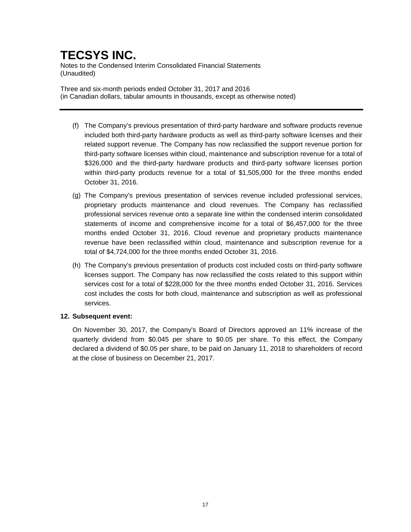Notes to the Condensed Interim Consolidated Financial Statements (Unaudited)

Three and six-month periods ended October 31, 2017 and 2016 (in Canadian dollars, tabular amounts in thousands, except as otherwise noted)

- (f) The Company's previous presentation of third-party hardware and software products revenue included both third-party hardware products as well as third-party software licenses and their related support revenue. The Company has now reclassified the support revenue portion for third-party software licenses within cloud, maintenance and subscription revenue for a total of \$326,000 and the third-party hardware products and third-party software licenses portion within third-party products revenue for a total of \$1,505,000 for the three months ended October 31, 2016.
- (g) The Company's previous presentation of services revenue included professional services, proprietary products maintenance and cloud revenues. The Company has reclassified professional services revenue onto a separate line within the condensed interim consolidated statements of income and comprehensive income for a total of \$6,457,000 for the three months ended October 31, 2016. Cloud revenue and proprietary products maintenance revenue have been reclassified within cloud, maintenance and subscription revenue for a total of \$4,724,000 for the three months ended October 31, 2016.
- (h) The Company's previous presentation of products cost included costs on third-party software licenses support. The Company has now reclassified the costs related to this support within services cost for a total of \$228,000 for the three months ended October 31, 2016. Services cost includes the costs for both cloud, maintenance and subscription as well as professional services.

### **12. Subsequent event:**

On November 30, 2017, the Company's Board of Directors approved an 11% increase of the quarterly dividend from \$0.045 per share to \$0.05 per share. To this effect, the Company declared a dividend of \$0.05 per share, to be paid on January 11, 2018 to shareholders of record at the close of business on December 21, 2017.